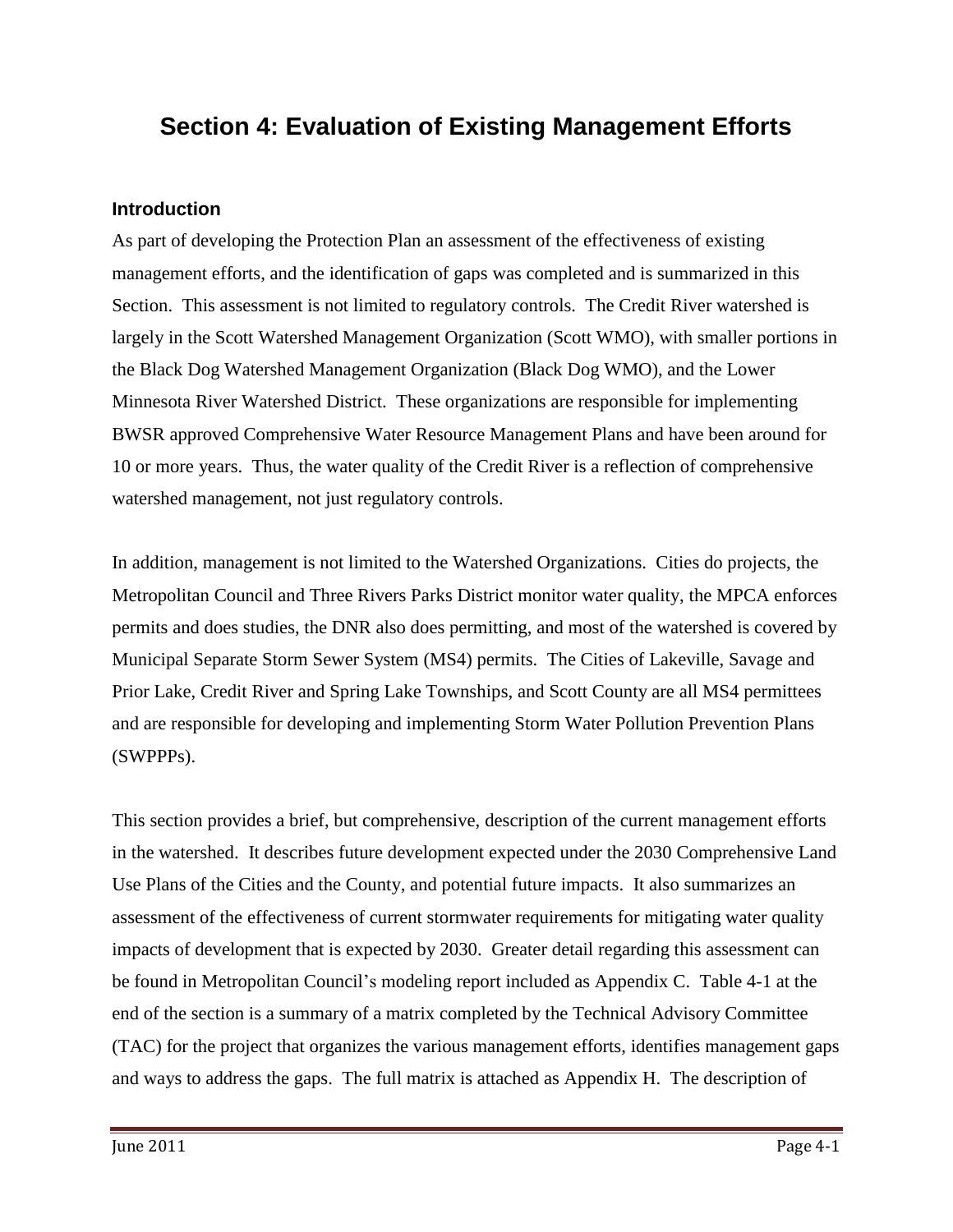# **Section 4: Evaluation of Existing Management Efforts**

## **Introduction**

As part of developing the Protection Plan an assessment of the effectiveness of existing management efforts, and the identification of gaps was completed and is summarized in this Section. This assessment is not limited to regulatory controls. The Credit River watershed is largely in the Scott Watershed Management Organization (Scott WMO), with smaller portions in the Black Dog Watershed Management Organization (Black Dog WMO), and the Lower Minnesota River Watershed District. These organizations are responsible for implementing BWSR approved Comprehensive Water Resource Management Plans and have been around for 10 or more years. Thus, the water quality of the Credit River is a reflection of comprehensive watershed management, not just regulatory controls.

In addition, management is not limited to the Watershed Organizations. Cities do projects, the Metropolitan Council and Three Rivers Parks District monitor water quality, the MPCA enforces permits and does studies, the DNR also does permitting, and most of the watershed is covered by Municipal Separate Storm Sewer System (MS4) permits. The Cities of Lakeville, Savage and Prior Lake, Credit River and Spring Lake Townships, and Scott County are all MS4 permittees and are responsible for developing and implementing Storm Water Pollution Prevention Plans (SWPPPs).

This section provides a brief, but comprehensive, description of the current management efforts in the watershed. It describes future development expected under the 2030 Comprehensive Land Use Plans of the Cities and the County, and potential future impacts. It also summarizes an assessment of the effectiveness of current stormwater requirements for mitigating water quality impacts of development that is expected by 2030. Greater detail regarding this assessment can be found in Metropolitan Council's modeling report included as Appendix C. Table 4-1 at the end of the section is a summary of a matrix completed by the Technical Advisory Committee (TAC) for the project that organizes the various management efforts, identifies management gaps and ways to address the gaps. The full matrix is attached as Appendix H. The description of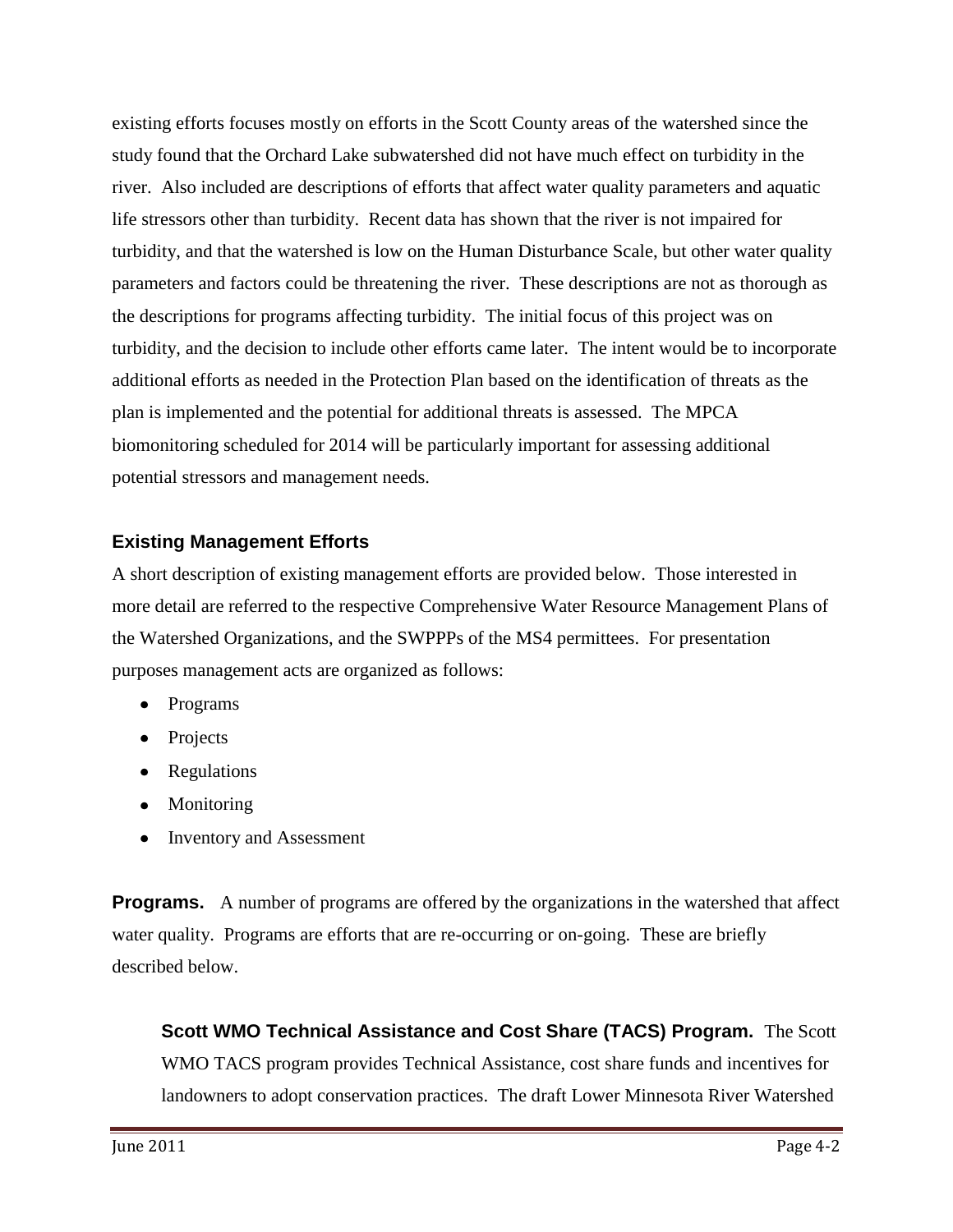existing efforts focuses mostly on efforts in the Scott County areas of the watershed since the study found that the Orchard Lake subwatershed did not have much effect on turbidity in the river. Also included are descriptions of efforts that affect water quality parameters and aquatic life stressors other than turbidity. Recent data has shown that the river is not impaired for turbidity, and that the watershed is low on the Human Disturbance Scale, but other water quality parameters and factors could be threatening the river. These descriptions are not as thorough as the descriptions for programs affecting turbidity. The initial focus of this project was on turbidity, and the decision to include other efforts came later. The intent would be to incorporate additional efforts as needed in the Protection Plan based on the identification of threats as the plan is implemented and the potential for additional threats is assessed. The MPCA biomonitoring scheduled for 2014 will be particularly important for assessing additional potential stressors and management needs.

# **Existing Management Efforts**

A short description of existing management efforts are provided below. Those interested in more detail are referred to the respective Comprehensive Water Resource Management Plans of the Watershed Organizations, and the SWPPPs of the MS4 permittees. For presentation purposes management acts are organized as follows:

- Programs
- Projects
- Regulations
- Monitoring
- Inventory and Assessment

**Programs.** A number of programs are offered by the organizations in the watershed that affect water quality. Programs are efforts that are re-occurring or on-going. These are briefly described below.

**Scott WMO Technical Assistance and Cost Share (TACS) Program.** The Scott WMO TACS program provides Technical Assistance, cost share funds and incentives for landowners to adopt conservation practices. The draft Lower Minnesota River Watershed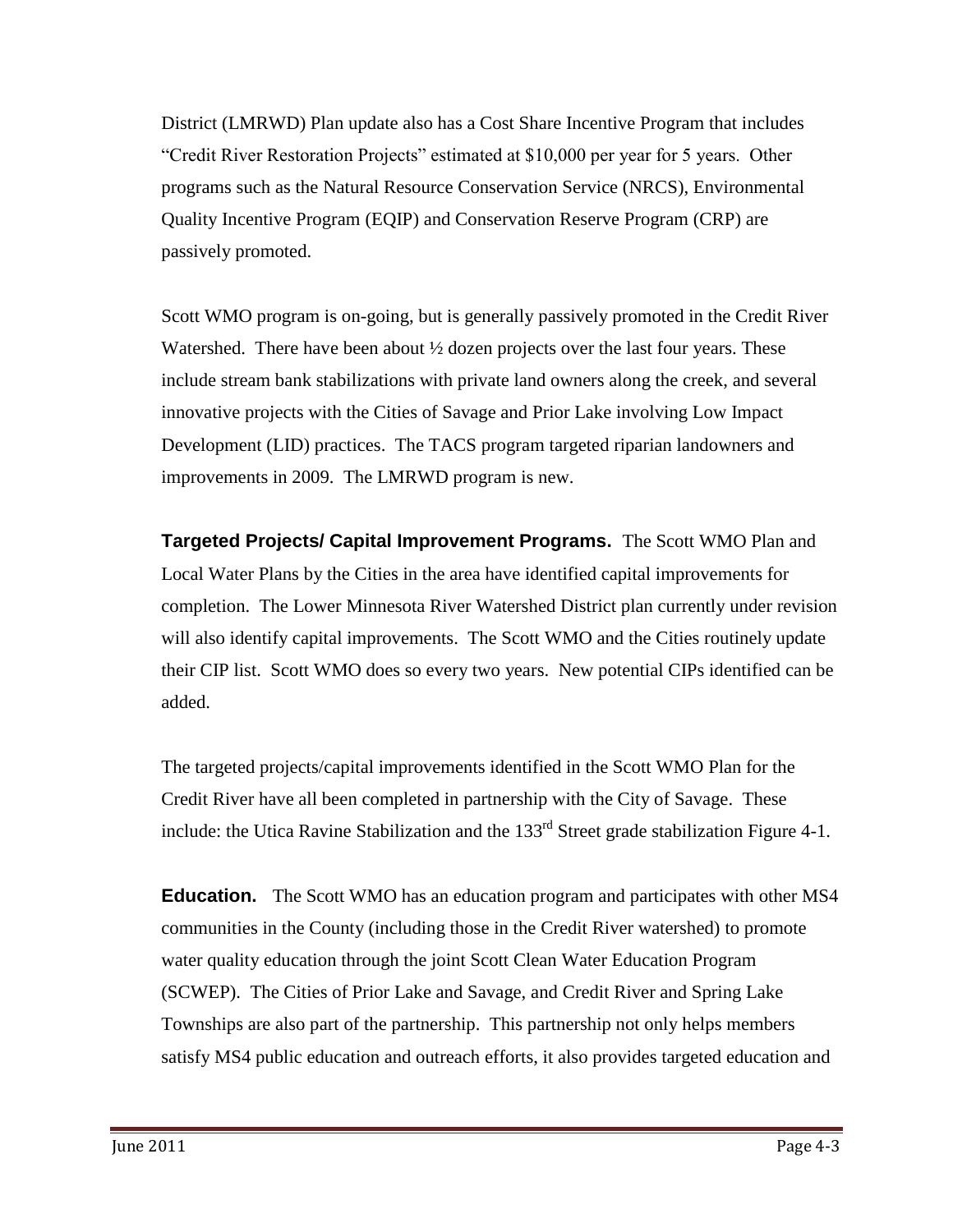District (LMRWD) Plan update also has a Cost Share Incentive Program that includes "Credit River Restoration Projects" estimated at \$10,000 per year for 5 years. Other programs such as the Natural Resource Conservation Service (NRCS), Environmental Quality Incentive Program (EQIP) and Conservation Reserve Program (CRP) are passively promoted.

Scott WMO program is on-going, but is generally passively promoted in the Credit River Watershed. There have been about  $\frac{1}{2}$  dozen projects over the last four years. These include stream bank stabilizations with private land owners along the creek, and several innovative projects with the Cities of Savage and Prior Lake involving Low Impact Development (LID) practices. The TACS program targeted riparian landowners and improvements in 2009. The LMRWD program is new.

**Targeted Projects/ Capital Improvement Programs.** The Scott WMO Plan and Local Water Plans by the Cities in the area have identified capital improvements for completion. The Lower Minnesota River Watershed District plan currently under revision will also identify capital improvements. The Scott WMO and the Cities routinely update their CIP list. Scott WMO does so every two years. New potential CIPs identified can be added.

The targeted projects/capital improvements identified in the Scott WMO Plan for the Credit River have all been completed in partnership with the City of Savage. These include: the Utica Ravine Stabilization and the  $133<sup>rd</sup>$  Street grade stabilization Figure 4-1.

**Education.** The Scott WMO has an education program and participates with other MS4 communities in the County (including those in the Credit River watershed) to promote water quality education through the joint Scott Clean Water Education Program (SCWEP). The Cities of Prior Lake and Savage, and Credit River and Spring Lake Townships are also part of the partnership. This partnership not only helps members satisfy MS4 public education and outreach efforts, it also provides targeted education and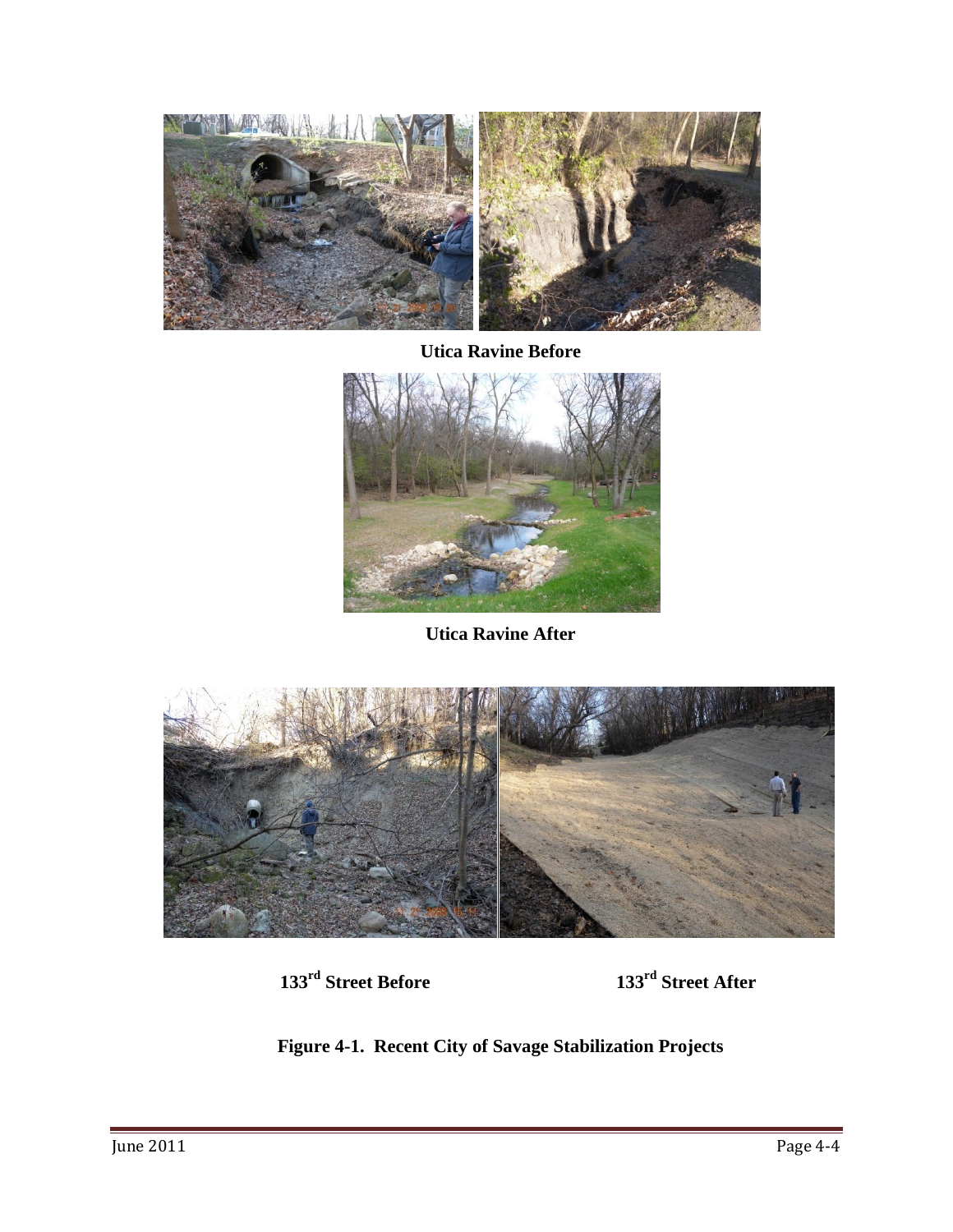

**Utica Ravine Before**



**Utica Ravine After**



**133rd Street Before 133rd Street After**

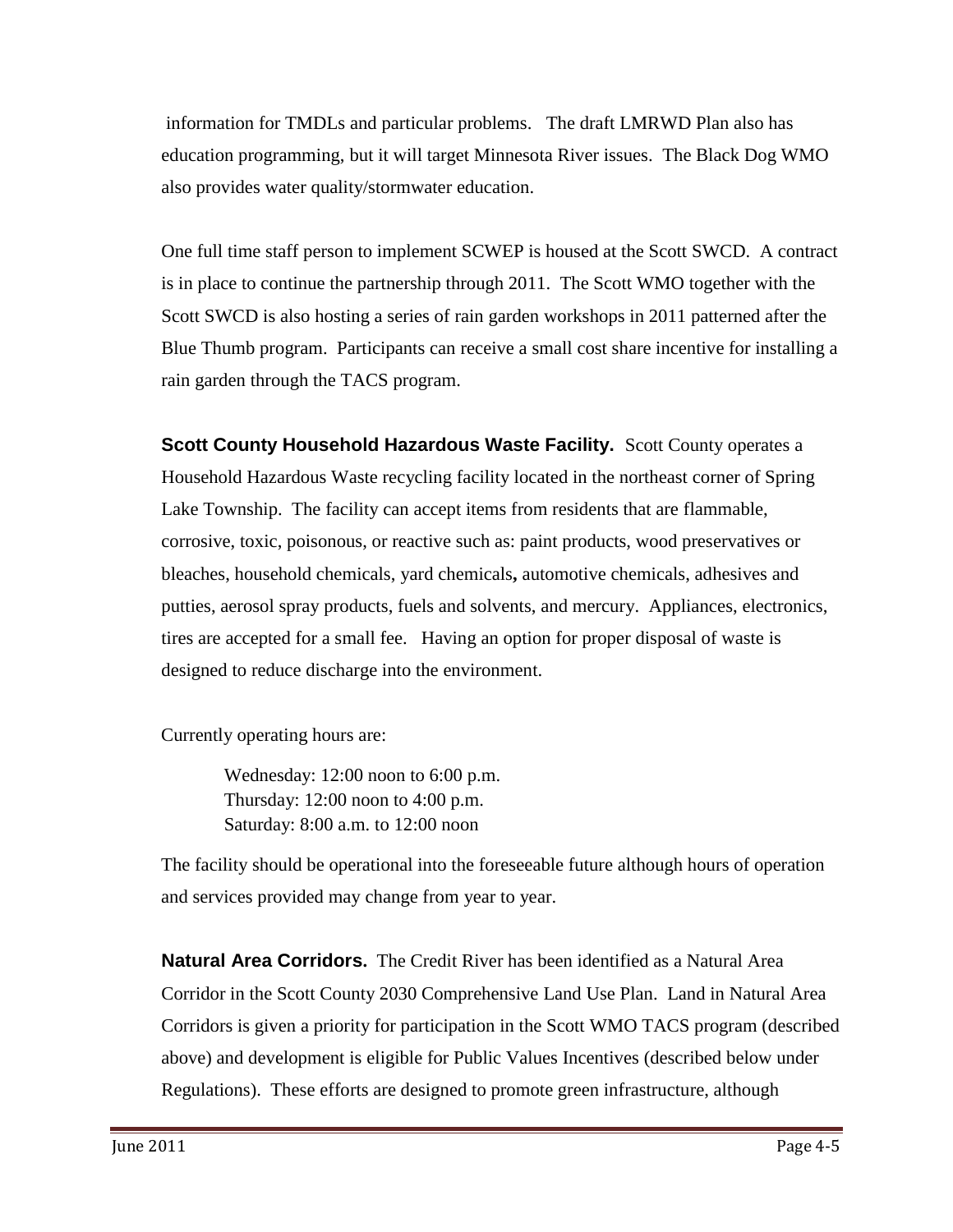information for TMDLs and particular problems. The draft LMRWD Plan also has education programming, but it will target Minnesota River issues. The Black Dog WMO also provides water quality/stormwater education.

One full time staff person to implement SCWEP is housed at the Scott SWCD. A contract is in place to continue the partnership through 2011. The Scott WMO together with the Scott SWCD is also hosting a series of rain garden workshops in 2011 patterned after the Blue Thumb program. Participants can receive a small cost share incentive for installing a rain garden through the TACS program.

**Scott County Household Hazardous Waste Facility.** Scott County operates a Household Hazardous Waste recycling facility located in the northeast corner of Spring Lake Township. The facility can accept items from residents that are flammable, corrosive, toxic, poisonous, or reactive such as: paint products, wood preservatives or bleaches, household chemicals, yard chemicals**,** automotive chemicals, adhesives and putties, aerosol spray products, fuels and solvents, and mercury. Appliances, electronics, tires are accepted for a small fee. Having an option for proper disposal of waste is designed to reduce discharge into the environment.

Currently operating hours are:

Wednesday: 12:00 noon to 6:00 p.m. Thursday: 12:00 noon to 4:00 p.m. Saturday: 8:00 a.m. to 12:00 noon

The facility should be operational into the foreseeable future although hours of operation and services provided may change from year to year.

**Natural Area Corridors.** The Credit River has been identified as a Natural Area Corridor in the Scott County 2030 Comprehensive Land Use Plan. Land in Natural Area Corridors is given a priority for participation in the Scott WMO TACS program (described above) and development is eligible for Public Values Incentives (described below under Regulations). These efforts are designed to promote green infrastructure, although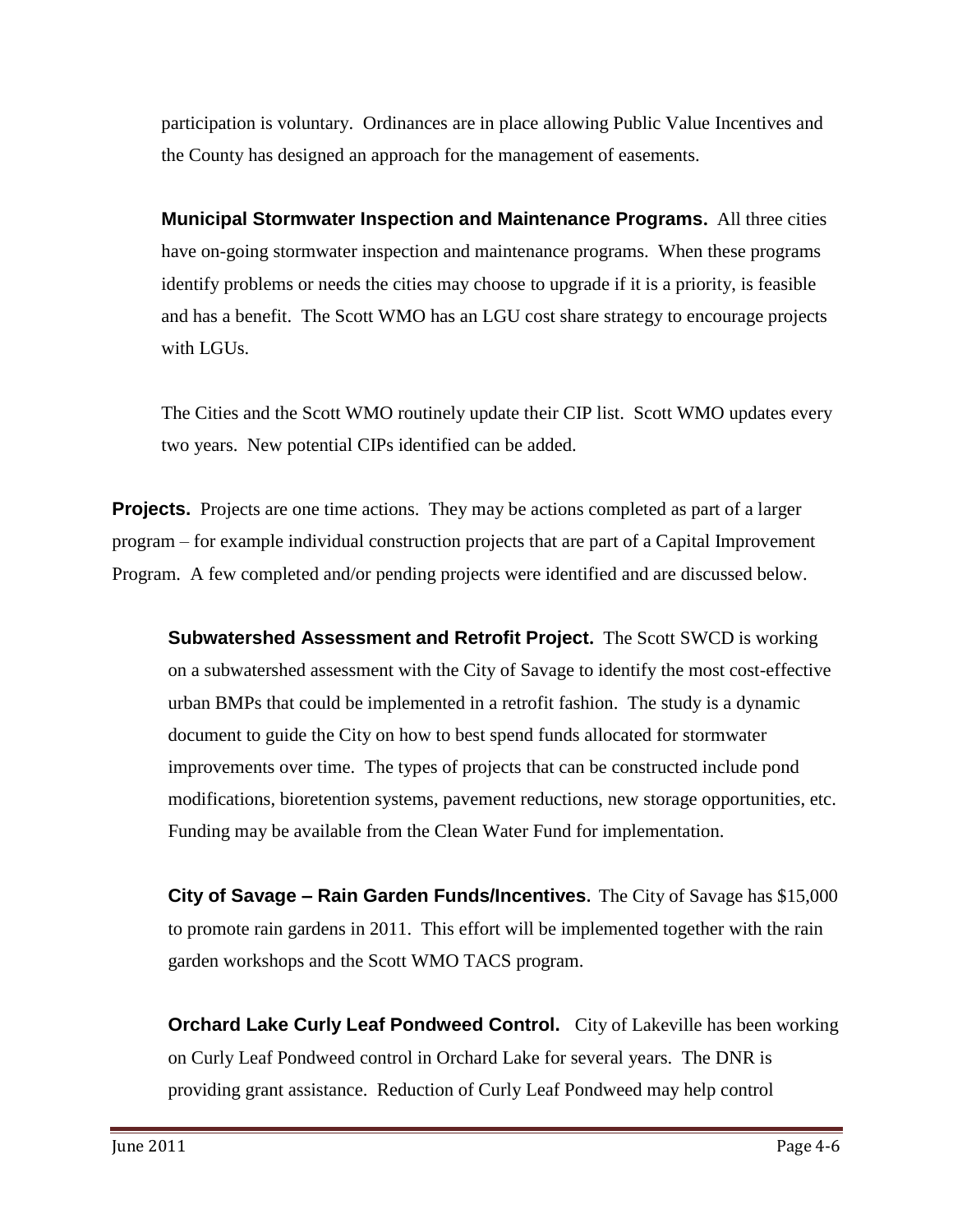participation is voluntary. Ordinances are in place allowing Public Value Incentives and the County has designed an approach for the management of easements.

**Municipal Stormwater Inspection and Maintenance Programs.** All three cities have on-going stormwater inspection and maintenance programs. When these programs identify problems or needs the cities may choose to upgrade if it is a priority, is feasible and has a benefit. The Scott WMO has an LGU cost share strategy to encourage projects with LGUs.

The Cities and the Scott WMO routinely update their CIP list. Scott WMO updates every two years. New potential CIPs identified can be added.

**Projects.** Projects are one time actions. They may be actions completed as part of a larger program – for example individual construction projects that are part of a Capital Improvement Program. A few completed and/or pending projects were identified and are discussed below.

**Subwatershed Assessment and Retrofit Project.** The Scott SWCD is working on a subwatershed assessment with the City of Savage to identify the most cost-effective urban BMPs that could be implemented in a retrofit fashion. The study is a dynamic document to guide the City on how to best spend funds allocated for stormwater improvements over time. The types of projects that can be constructed include pond modifications, bioretention systems, pavement reductions, new storage opportunities, etc. Funding may be available from the Clean Water Fund for implementation.

**City of Savage – Rain Garden Funds/Incentives.** The City of Savage has \$15,000 to promote rain gardens in 2011. This effort will be implemented together with the rain garden workshops and the Scott WMO TACS program.

**Orchard Lake Curly Leaf Pondweed Control.** City of Lakeville has been working on Curly Leaf Pondweed control in Orchard Lake for several years. The DNR is providing grant assistance. Reduction of Curly Leaf Pondweed may help control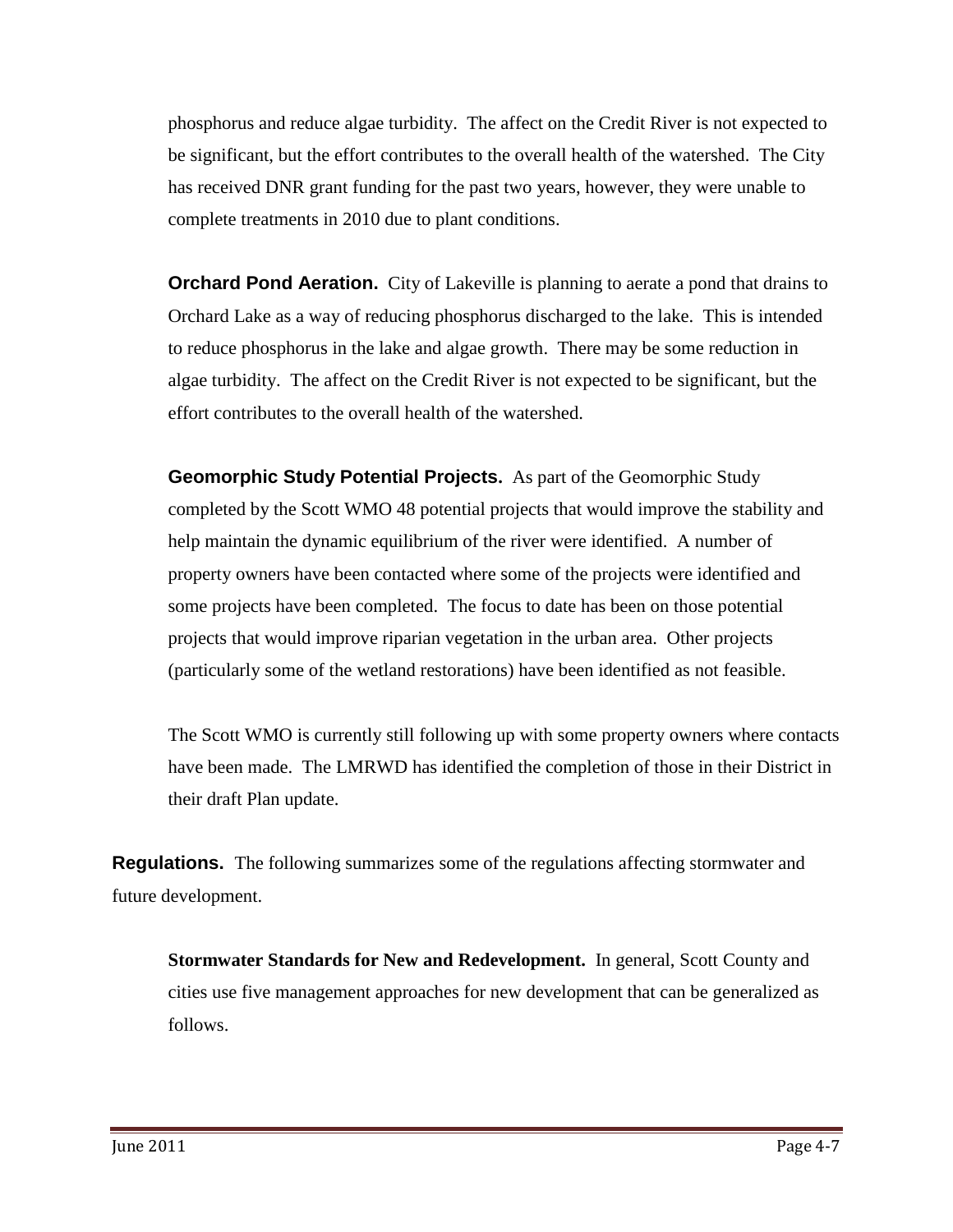phosphorus and reduce algae turbidity. The affect on the Credit River is not expected to be significant, but the effort contributes to the overall health of the watershed. The City has received DNR grant funding for the past two years, however, they were unable to complete treatments in 2010 due to plant conditions.

**Orchard Pond Aeration.** City of Lakeville is planning to aerate a pond that drains to Orchard Lake as a way of reducing phosphorus discharged to the lake. This is intended to reduce phosphorus in the lake and algae growth. There may be some reduction in algae turbidity. The affect on the Credit River is not expected to be significant, but the effort contributes to the overall health of the watershed.

**Geomorphic Study Potential Projects.** As part of the Geomorphic Study completed by the Scott WMO 48 potential projects that would improve the stability and help maintain the dynamic equilibrium of the river were identified. A number of property owners have been contacted where some of the projects were identified and some projects have been completed. The focus to date has been on those potential projects that would improve riparian vegetation in the urban area. Other projects (particularly some of the wetland restorations) have been identified as not feasible.

The Scott WMO is currently still following up with some property owners where contacts have been made. The LMRWD has identified the completion of those in their District in their draft Plan update.

**Regulations.** The following summarizes some of the regulations affecting stormwater and future development.

**Stormwater Standards for New and Redevelopment.** In general, Scott County and cities use five management approaches for new development that can be generalized as follows.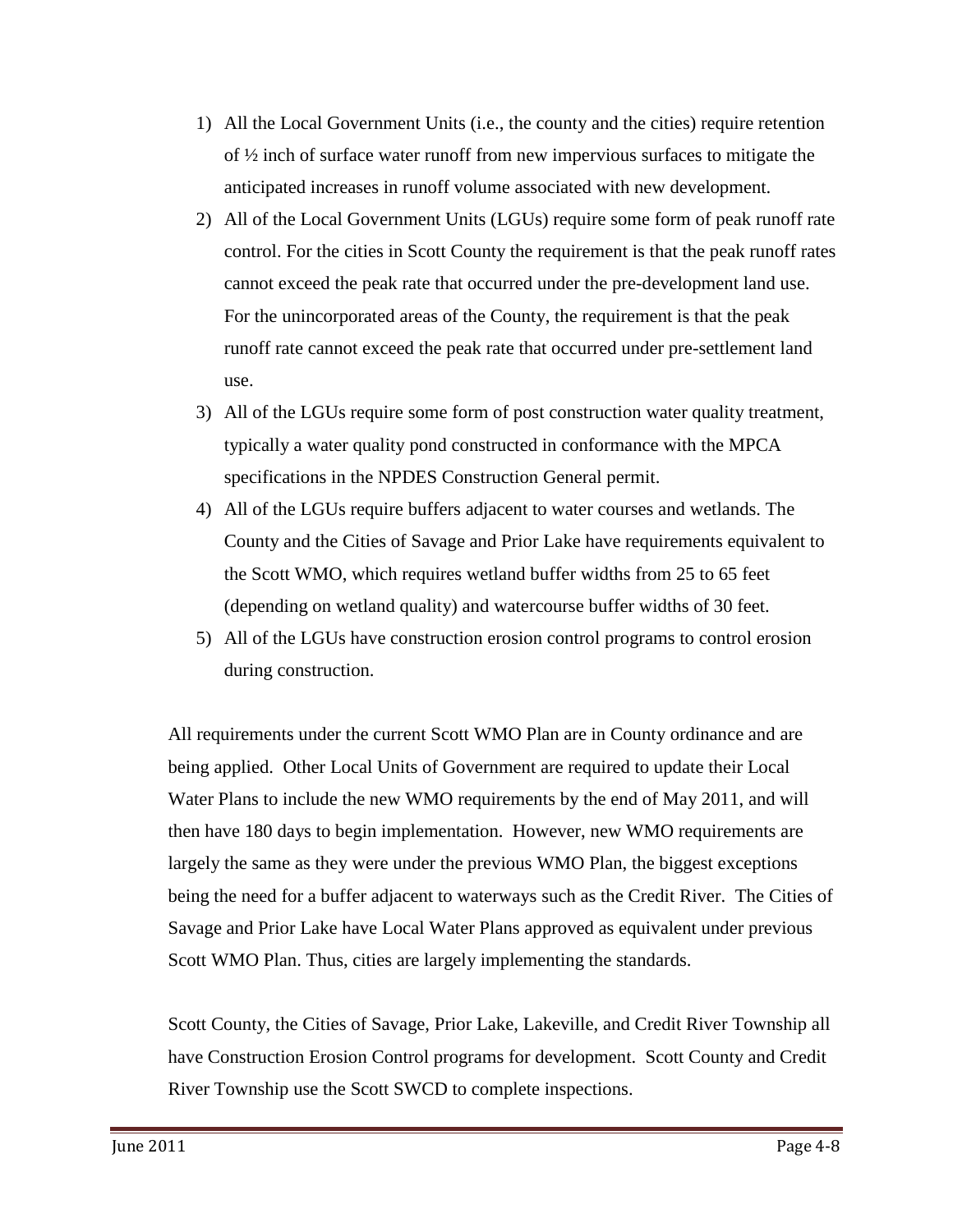- 1) All the Local Government Units (i.e., the county and the cities) require retention of  $\frac{1}{2}$  inch of surface water runoff from new impervious surfaces to mitigate the anticipated increases in runoff volume associated with new development.
- 2) All of the Local Government Units (LGUs) require some form of peak runoff rate control. For the cities in Scott County the requirement is that the peak runoff rates cannot exceed the peak rate that occurred under the pre-development land use. For the unincorporated areas of the County, the requirement is that the peak runoff rate cannot exceed the peak rate that occurred under pre-settlement land use.
- 3) All of the LGUs require some form of post construction water quality treatment, typically a water quality pond constructed in conformance with the MPCA specifications in the NPDES Construction General permit.
- 4) All of the LGUs require buffers adjacent to water courses and wetlands. The County and the Cities of Savage and Prior Lake have requirements equivalent to the Scott WMO, which requires wetland buffer widths from 25 to 65 feet (depending on wetland quality) and watercourse buffer widths of 30 feet.
- 5) All of the LGUs have construction erosion control programs to control erosion during construction.

All requirements under the current Scott WMO Plan are in County ordinance and are being applied. Other Local Units of Government are required to update their Local Water Plans to include the new WMO requirements by the end of May 2011, and will then have 180 days to begin implementation. However, new WMO requirements are largely the same as they were under the previous WMO Plan, the biggest exceptions being the need for a buffer adjacent to waterways such as the Credit River. The Cities of Savage and Prior Lake have Local Water Plans approved as equivalent under previous Scott WMO Plan. Thus, cities are largely implementing the standards.

Scott County, the Cities of Savage, Prior Lake, Lakeville, and Credit River Township all have Construction Erosion Control programs for development. Scott County and Credit River Township use the Scott SWCD to complete inspections.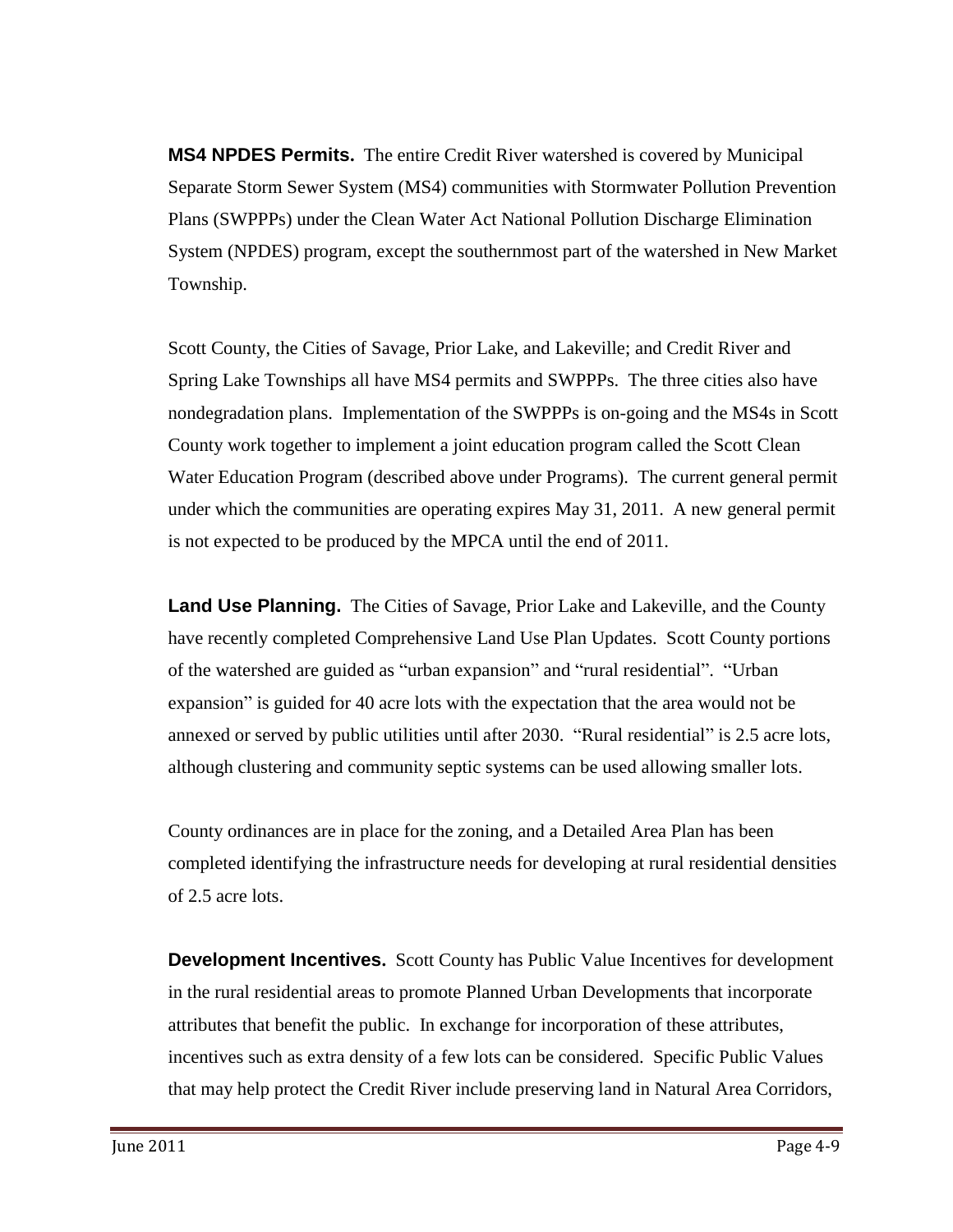**MS4 NPDES Permits.** The entire Credit River watershed is covered by Municipal Separate Storm Sewer System (MS4) communities with Stormwater Pollution Prevention Plans (SWPPPs) under the Clean Water Act National Pollution Discharge Elimination System (NPDES) program, except the southernmost part of the watershed in New Market Township.

Scott County, the Cities of Savage, Prior Lake, and Lakeville; and Credit River and Spring Lake Townships all have MS4 permits and SWPPPs. The three cities also have nondegradation plans. Implementation of the SWPPPs is on-going and the MS4s in Scott County work together to implement a joint education program called the Scott Clean Water Education Program (described above under Programs). The current general permit under which the communities are operating expires May 31, 2011. A new general permit is not expected to be produced by the MPCA until the end of 2011.

**Land Use Planning.** The Cities of Savage, Prior Lake and Lakeville, and the County have recently completed Comprehensive Land Use Plan Updates. Scott County portions of the watershed are guided as "urban expansion" and "rural residential". "Urban expansion" is guided for 40 acre lots with the expectation that the area would not be annexed or served by public utilities until after 2030. "Rural residential" is 2.5 acre lots, although clustering and community septic systems can be used allowing smaller lots.

County ordinances are in place for the zoning, and a Detailed Area Plan has been completed identifying the infrastructure needs for developing at rural residential densities of 2.5 acre lots.

**Development Incentives.** Scott County has Public Value Incentives for development in the rural residential areas to promote Planned Urban Developments that incorporate attributes that benefit the public. In exchange for incorporation of these attributes, incentives such as extra density of a few lots can be considered. Specific Public Values that may help protect the Credit River include preserving land in Natural Area Corridors,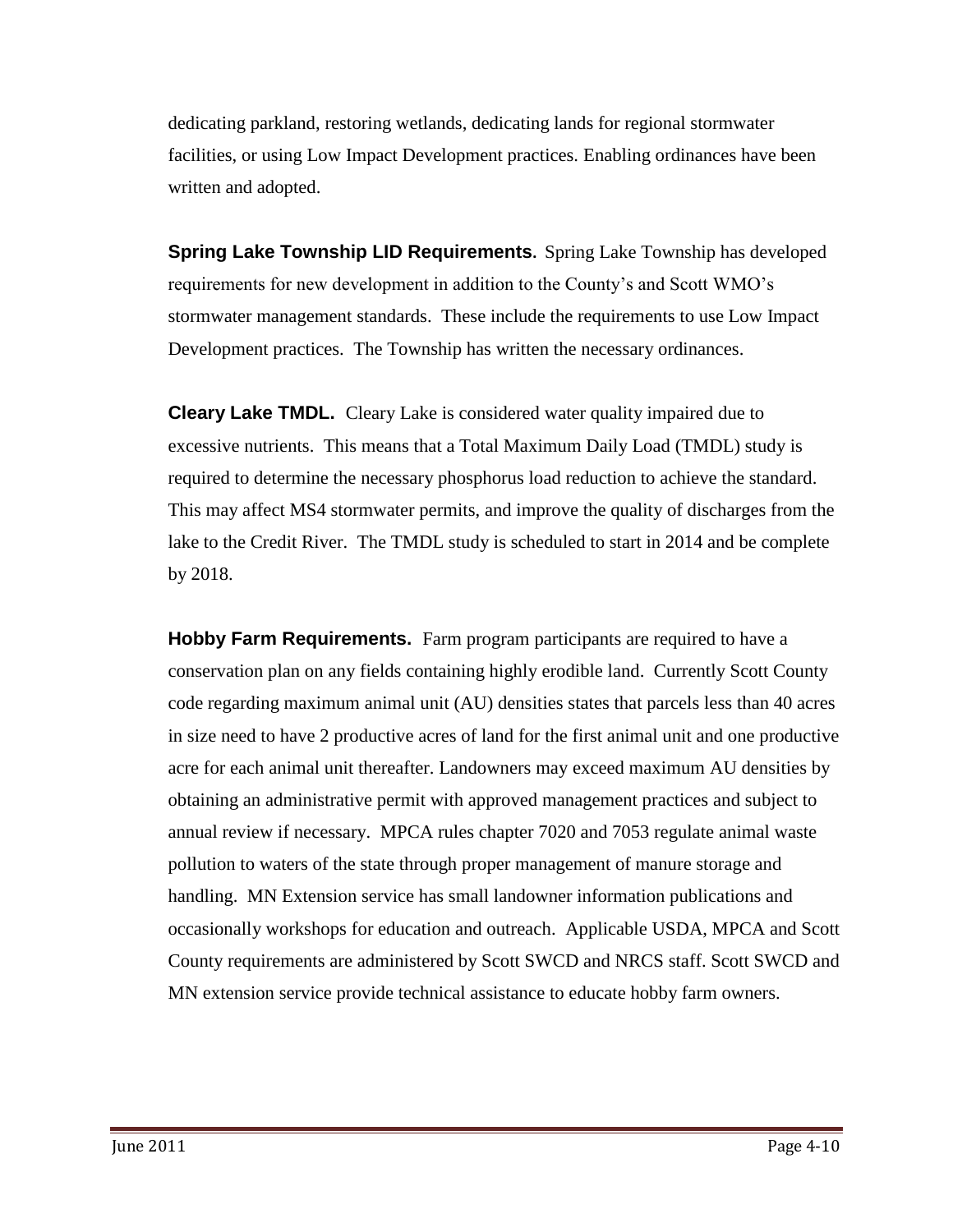dedicating parkland, restoring wetlands, dedicating lands for regional stormwater facilities, or using Low Impact Development practices. Enabling ordinances have been written and adopted.

**Spring Lake Township LID Requirements.** Spring Lake Township has developed requirements for new development in addition to the County's and Scott WMO's stormwater management standards. These include the requirements to use Low Impact Development practices. The Township has written the necessary ordinances.

**Cleary Lake TMDL.** Cleary Lake is considered water quality impaired due to excessive nutrients. This means that a Total Maximum Daily Load (TMDL) study is required to determine the necessary phosphorus load reduction to achieve the standard. This may affect MS4 stormwater permits, and improve the quality of discharges from the lake to the Credit River. The TMDL study is scheduled to start in 2014 and be complete by 2018.

**Hobby Farm Requirements.** Farm program participants are required to have a conservation plan on any fields containing highly erodible land. Currently Scott County code regarding maximum animal unit (AU) densities states that parcels less than 40 acres in size need to have 2 productive acres of land for the first animal unit and one productive acre for each animal unit thereafter. Landowners may exceed maximum AU densities by obtaining an administrative permit with approved management practices and subject to annual review if necessary. MPCA rules chapter 7020 and 7053 regulate animal waste pollution to waters of the state through proper management of manure storage and handling. MN Extension service has small landowner information publications and occasionally workshops for education and outreach. Applicable USDA, MPCA and Scott County requirements are administered by Scott SWCD and NRCS staff. Scott SWCD and MN extension service provide technical assistance to educate hobby farm owners.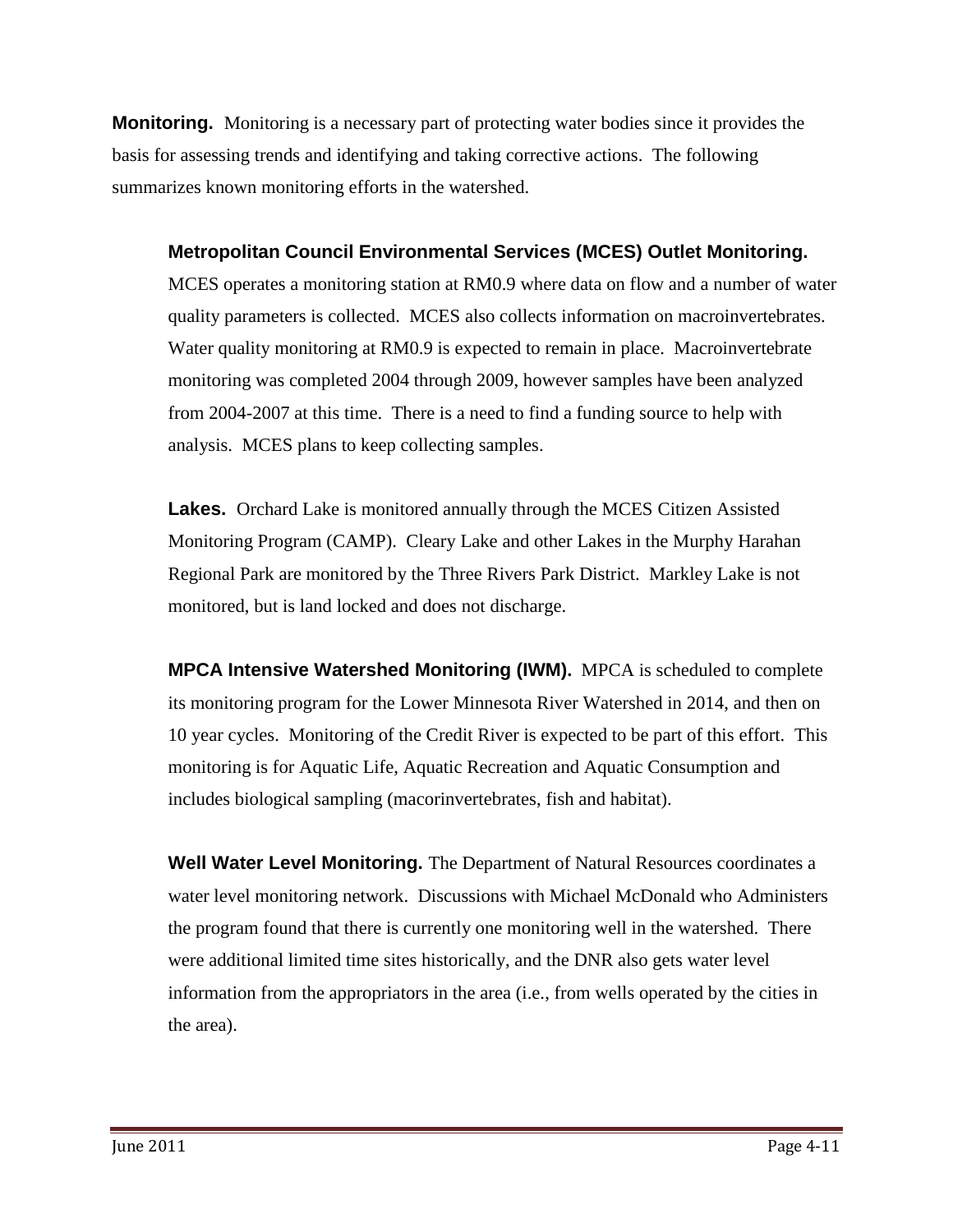**Monitoring.** Monitoring is a necessary part of protecting water bodies since it provides the basis for assessing trends and identifying and taking corrective actions. The following summarizes known monitoring efforts in the watershed.

# **Metropolitan Council Environmental Services (MCES) Outlet Monitoring.**

MCES operates a monitoring station at RM0.9 where data on flow and a number of water quality parameters is collected. MCES also collects information on macroinvertebrates. Water quality monitoring at RM0.9 is expected to remain in place. Macroinvertebrate monitoring was completed 2004 through 2009, however samples have been analyzed from 2004-2007 at this time. There is a need to find a funding source to help with analysis. MCES plans to keep collecting samples.

**Lakes.** Orchard Lake is monitored annually through the MCES Citizen Assisted Monitoring Program (CAMP). Cleary Lake and other Lakes in the Murphy Harahan Regional Park are monitored by the Three Rivers Park District. Markley Lake is not monitored, but is land locked and does not discharge.

**MPCA Intensive Watershed Monitoring (IWM).** MPCA is scheduled to complete its monitoring program for the Lower Minnesota River Watershed in 2014, and then on 10 year cycles. Monitoring of the Credit River is expected to be part of this effort. This monitoring is for Aquatic Life, Aquatic Recreation and Aquatic Consumption and includes biological sampling (macorinvertebrates, fish and habitat).

**Well Water Level Monitoring.** The Department of Natural Resources coordinates a water level monitoring network. Discussions with Michael McDonald who Administers the program found that there is currently one monitoring well in the watershed. There were additional limited time sites historically, and the DNR also gets water level information from the appropriators in the area (i.e., from wells operated by the cities in the area).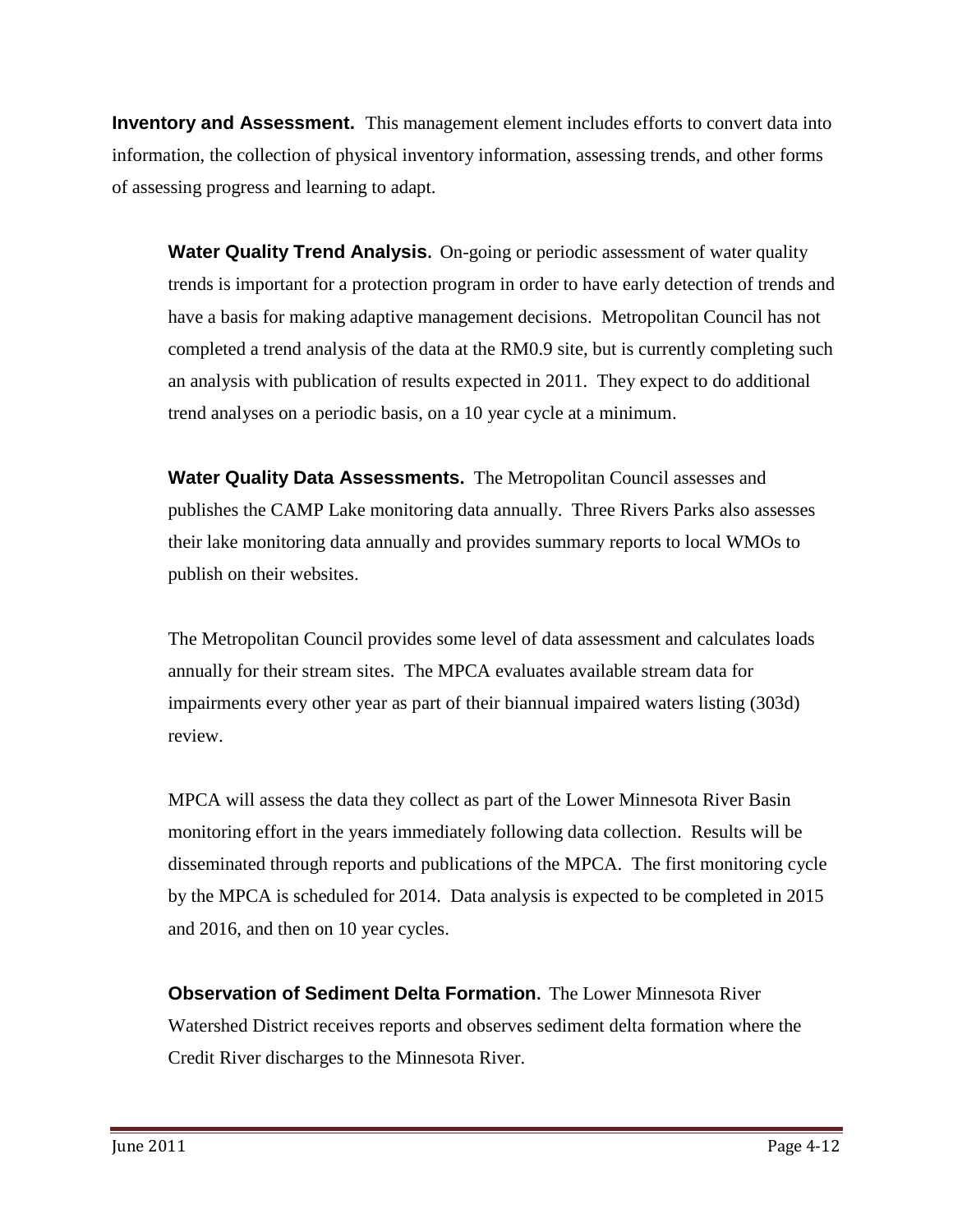**Inventory and Assessment.** This management element includes efforts to convert data into information, the collection of physical inventory information, assessing trends, and other forms of assessing progress and learning to adapt.

**Water Quality Trend Analysis.** On-going or periodic assessment of water quality trends is important for a protection program in order to have early detection of trends and have a basis for making adaptive management decisions. Metropolitan Council has not completed a trend analysis of the data at the RM0.9 site, but is currently completing such an analysis with publication of results expected in 2011. They expect to do additional trend analyses on a periodic basis, on a 10 year cycle at a minimum.

**Water Quality Data Assessments.** The Metropolitan Council assesses and publishes the CAMP Lake monitoring data annually. Three Rivers Parks also assesses their lake monitoring data annually and provides summary reports to local WMOs to publish on their websites.

The Metropolitan Council provides some level of data assessment and calculates loads annually for their stream sites. The MPCA evaluates available stream data for impairments every other year as part of their biannual impaired waters listing (303d) review.

MPCA will assess the data they collect as part of the Lower Minnesota River Basin monitoring effort in the years immediately following data collection. Results will be disseminated through reports and publications of the MPCA. The first monitoring cycle by the MPCA is scheduled for 2014. Data analysis is expected to be completed in 2015 and 2016, and then on 10 year cycles.

**Observation of Sediment Delta Formation.** The Lower Minnesota River Watershed District receives reports and observes sediment delta formation where the Credit River discharges to the Minnesota River.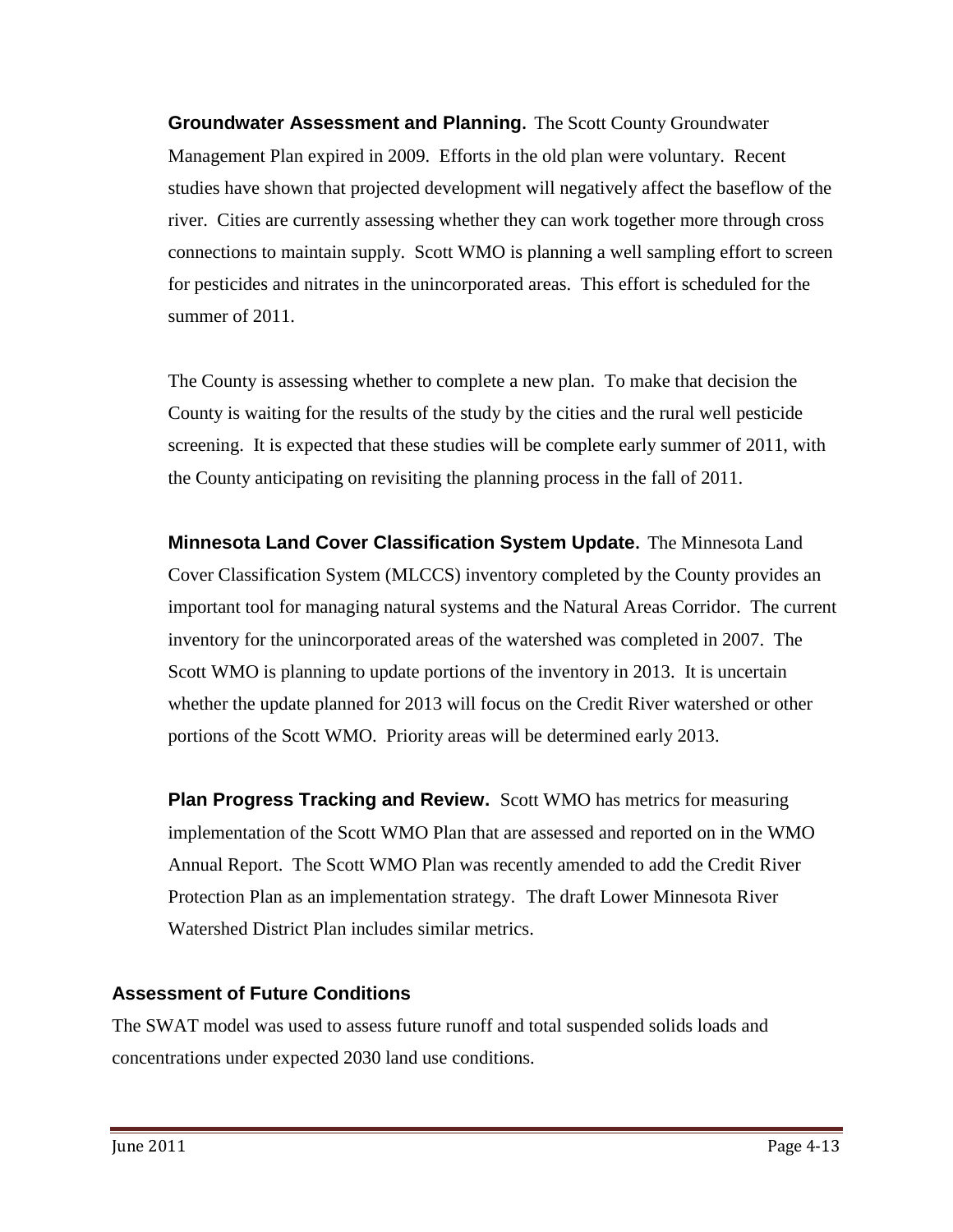**Groundwater Assessment and Planning.** The Scott County Groundwater Management Plan expired in 2009. Efforts in the old plan were voluntary. Recent studies have shown that projected development will negatively affect the baseflow of the river. Cities are currently assessing whether they can work together more through cross connections to maintain supply. Scott WMO is planning a well sampling effort to screen for pesticides and nitrates in the unincorporated areas. This effort is scheduled for the summer of 2011.

The County is assessing whether to complete a new plan. To make that decision the County is waiting for the results of the study by the cities and the rural well pesticide screening. It is expected that these studies will be complete early summer of 2011, with the County anticipating on revisiting the planning process in the fall of 2011.

**Minnesota Land Cover Classification System Update.** The Minnesota Land Cover Classification System (MLCCS) inventory completed by the County provides an important tool for managing natural systems and the Natural Areas Corridor. The current inventory for the unincorporated areas of the watershed was completed in 2007. The Scott WMO is planning to update portions of the inventory in 2013. It is uncertain whether the update planned for 2013 will focus on the Credit River watershed or other portions of the Scott WMO. Priority areas will be determined early 2013.

**Plan Progress Tracking and Review.** Scott WMO has metrics for measuring implementation of the Scott WMO Plan that are assessed and reported on in the WMO Annual Report. The Scott WMO Plan was recently amended to add the Credit River Protection Plan as an implementation strategy. The draft Lower Minnesota River Watershed District Plan includes similar metrics.

# **Assessment of Future Conditions**

The SWAT model was used to assess future runoff and total suspended solids loads and concentrations under expected 2030 land use conditions.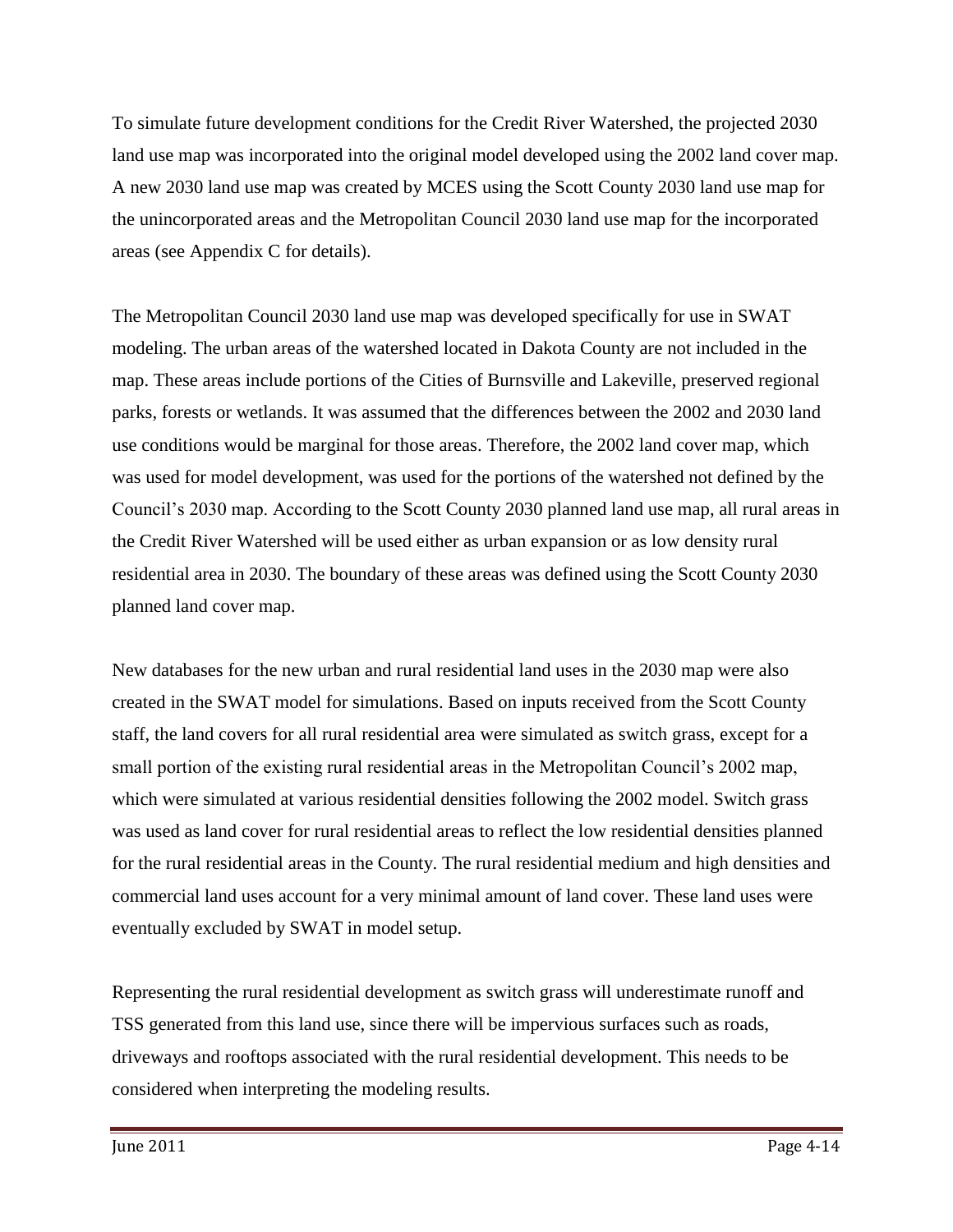To simulate future development conditions for the Credit River Watershed, the projected 2030 land use map was incorporated into the original model developed using the 2002 land cover map. A new 2030 land use map was created by MCES using the Scott County 2030 land use map for the unincorporated areas and the Metropolitan Council 2030 land use map for the incorporated areas (see Appendix C for details).

The Metropolitan Council 2030 land use map was developed specifically for use in SWAT modeling. The urban areas of the watershed located in Dakota County are not included in the map. These areas include portions of the Cities of Burnsville and Lakeville, preserved regional parks, forests or wetlands. It was assumed that the differences between the 2002 and 2030 land use conditions would be marginal for those areas. Therefore, the 2002 land cover map, which was used for model development, was used for the portions of the watershed not defined by the Council's 2030 map. According to the Scott County 2030 planned land use map, all rural areas in the Credit River Watershed will be used either as urban expansion or as low density rural residential area in 2030. The boundary of these areas was defined using the Scott County 2030 planned land cover map.

New databases for the new urban and rural residential land uses in the 2030 map were also created in the SWAT model for simulations. Based on inputs received from the Scott County staff, the land covers for all rural residential area were simulated as switch grass, except for a small portion of the existing rural residential areas in the Metropolitan Council's 2002 map, which were simulated at various residential densities following the 2002 model. Switch grass was used as land cover for rural residential areas to reflect the low residential densities planned for the rural residential areas in the County. The rural residential medium and high densities and commercial land uses account for a very minimal amount of land cover. These land uses were eventually excluded by SWAT in model setup.

Representing the rural residential development as switch grass will underestimate runoff and TSS generated from this land use, since there will be impervious surfaces such as roads, driveways and rooftops associated with the rural residential development. This needs to be considered when interpreting the modeling results.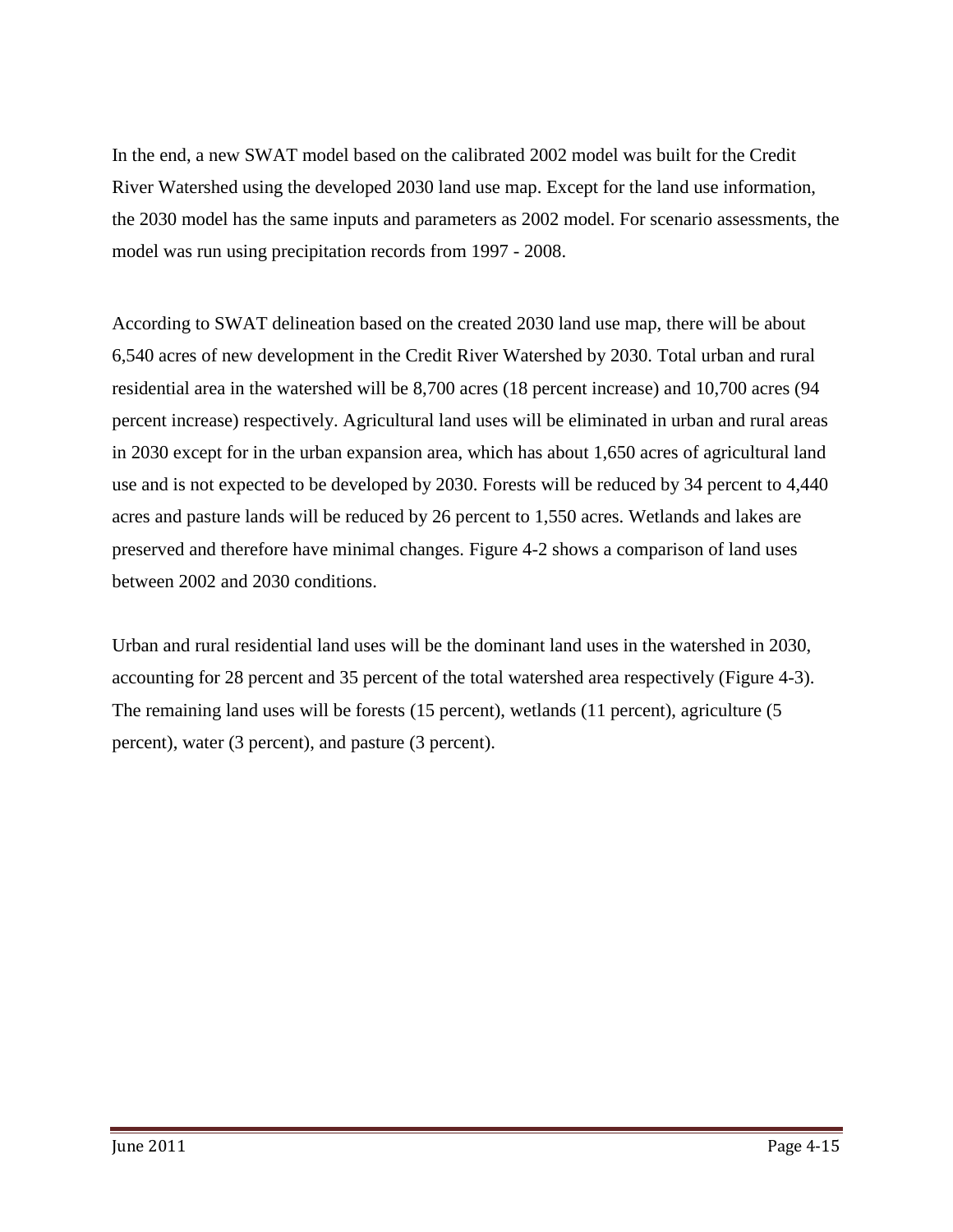In the end, a new SWAT model based on the calibrated 2002 model was built for the Credit River Watershed using the developed 2030 land use map. Except for the land use information, the 2030 model has the same inputs and parameters as 2002 model. For scenario assessments, the model was run using precipitation records from 1997 - 2008.

According to SWAT delineation based on the created 2030 land use map, there will be about 6,540 acres of new development in the Credit River Watershed by 2030. Total urban and rural residential area in the watershed will be 8,700 acres (18 percent increase) and 10,700 acres (94 percent increase) respectively. Agricultural land uses will be eliminated in urban and rural areas in 2030 except for in the urban expansion area, which has about 1,650 acres of agricultural land use and is not expected to be developed by 2030. Forests will be reduced by 34 percent to 4,440 acres and pasture lands will be reduced by 26 percent to 1,550 acres. Wetlands and lakes are preserved and therefore have minimal changes. Figure 4-2 shows a comparison of land uses between 2002 and 2030 conditions.

Urban and rural residential land uses will be the dominant land uses in the watershed in 2030, accounting for 28 percent and 35 percent of the total watershed area respectively (Figure 4-3). The remaining land uses will be forests (15 percent), wetlands (11 percent), agriculture (5 percent), water (3 percent), and pasture (3 percent).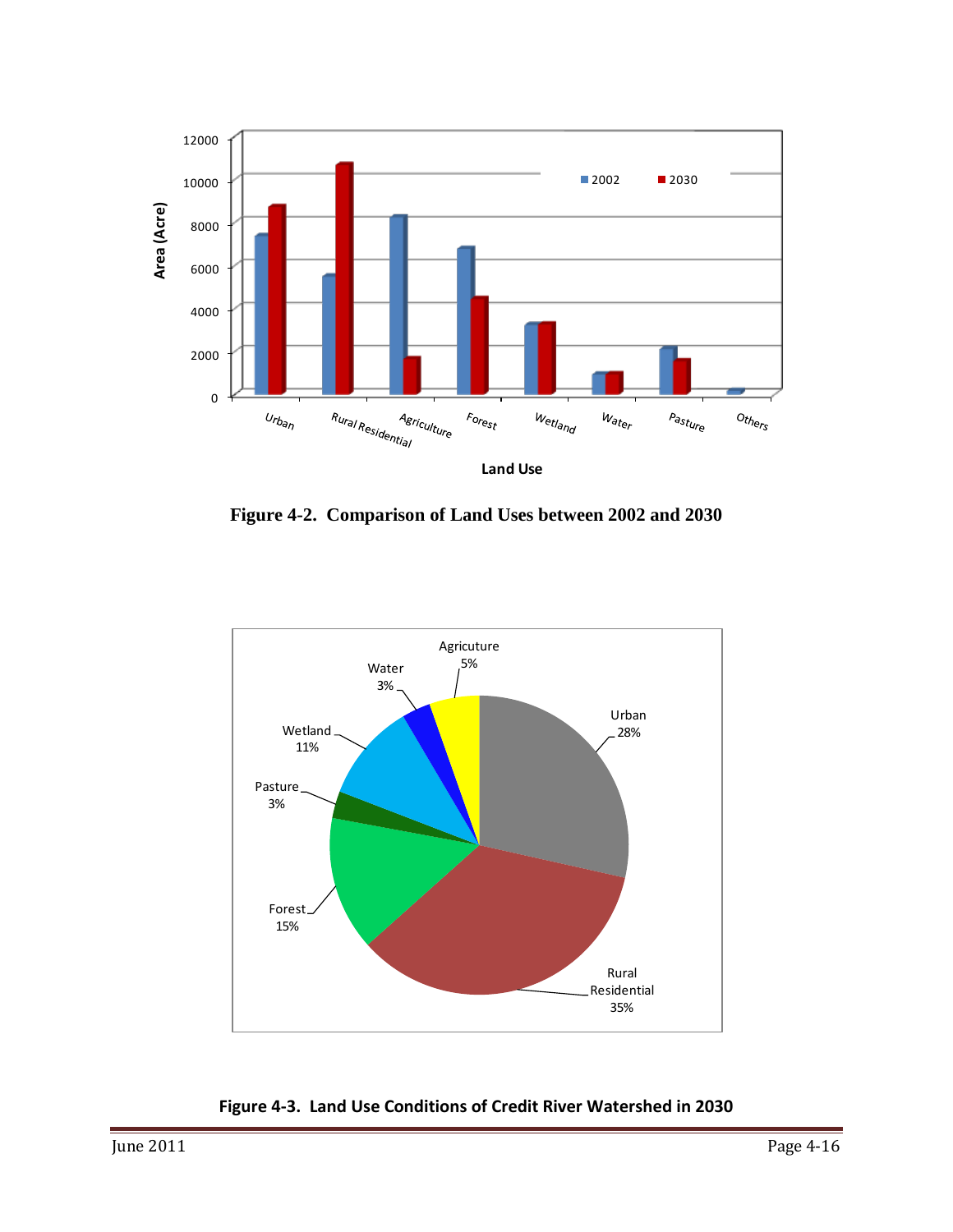

**Figure 4-2. Comparison of Land Uses between 2002 and 2030**



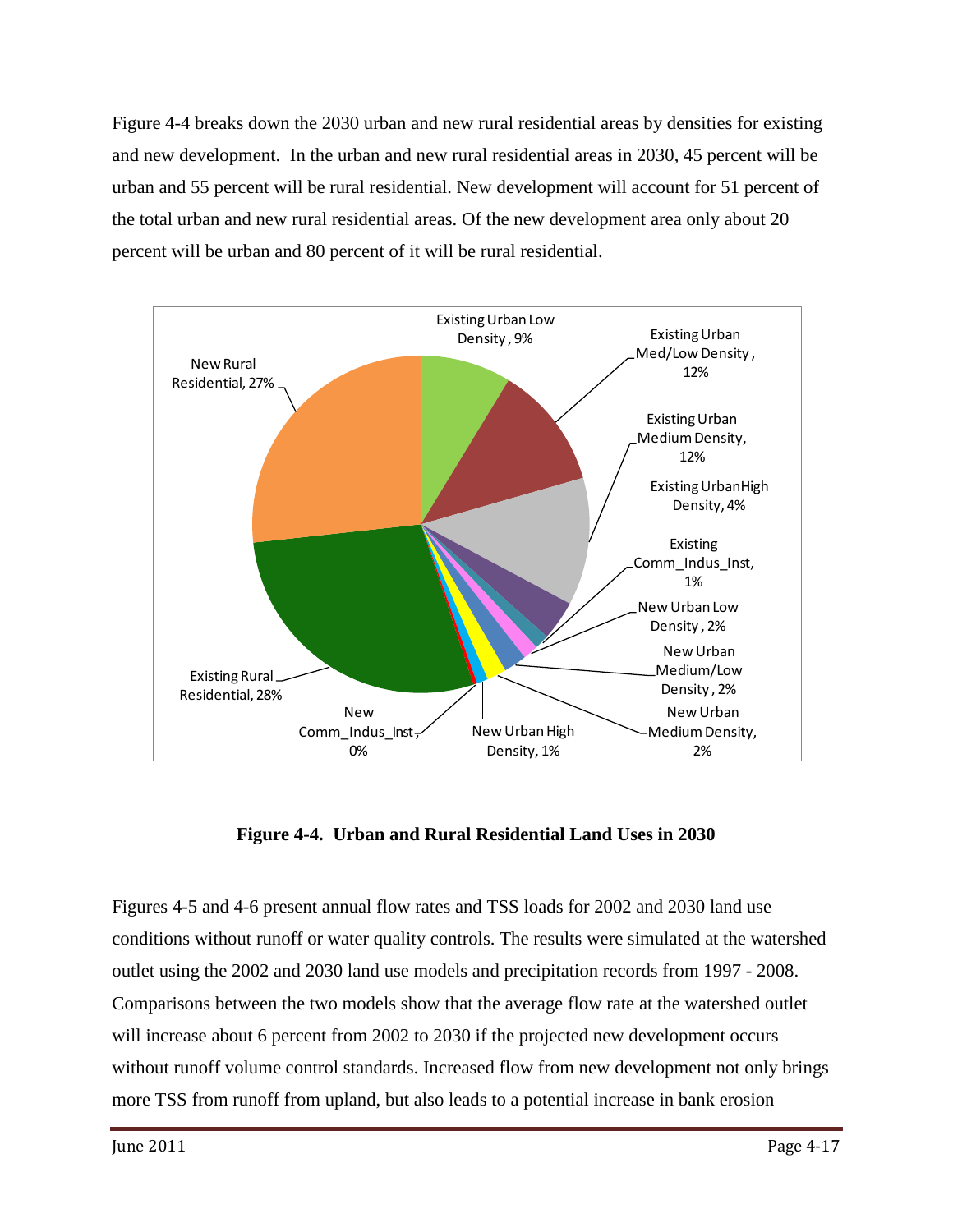Figure 4-4 breaks down the 2030 urban and new rural residential areas by densities for existing and new development. In the urban and new rural residential areas in 2030, 45 percent will be urban and 55 percent will be rural residential. New development will account for 51 percent of the total urban and new rural residential areas. Of the new development area only about 20 percent will be urban and 80 percent of it will be rural residential.



**Figure 4-4. Urban and Rural Residential Land Uses in 2030**

Figures 4-5 and 4-6 present annual flow rates and TSS loads for 2002 and 2030 land use conditions without runoff or water quality controls. The results were simulated at the watershed outlet using the 2002 and 2030 land use models and precipitation records from 1997 - 2008. Comparisons between the two models show that the average flow rate at the watershed outlet will increase about 6 percent from 2002 to 2030 if the projected new development occurs without runoff volume control standards. Increased flow from new development not only brings more TSS from runoff from upland, but also leads to a potential increase in bank erosion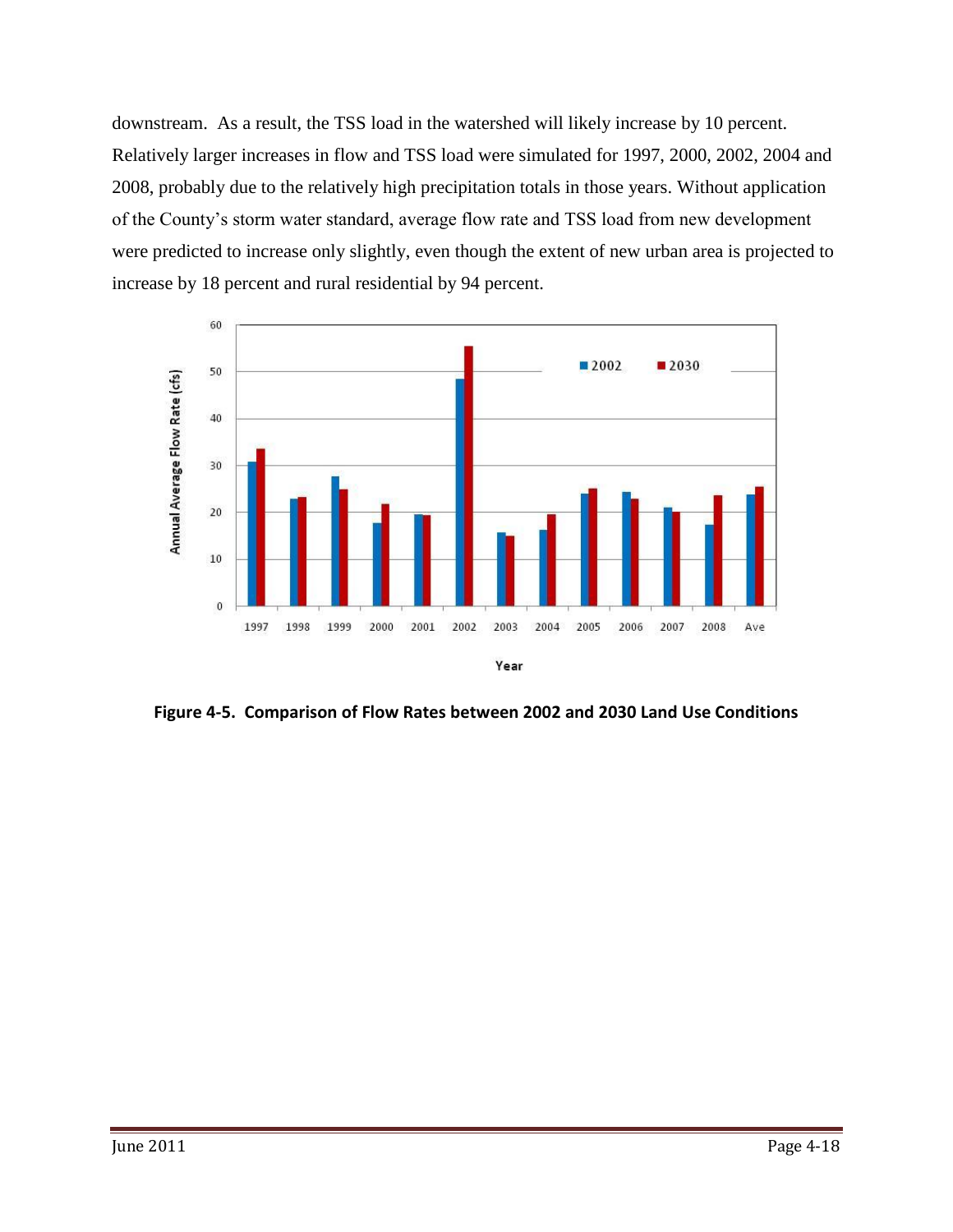downstream. As a result, the TSS load in the watershed will likely increase by 10 percent. Relatively larger increases in flow and TSS load were simulated for 1997, 2000, 2002, 2004 and 2008, probably due to the relatively high precipitation totals in those years. Without application of the County's storm water standard, average flow rate and TSS load from new development were predicted to increase only slightly, even though the extent of new urban area is projected to increase by 18 percent and rural residential by 94 percent.



Year

**Figure 4-5. Comparison of Flow Rates between 2002 and 2030 Land Use Conditions**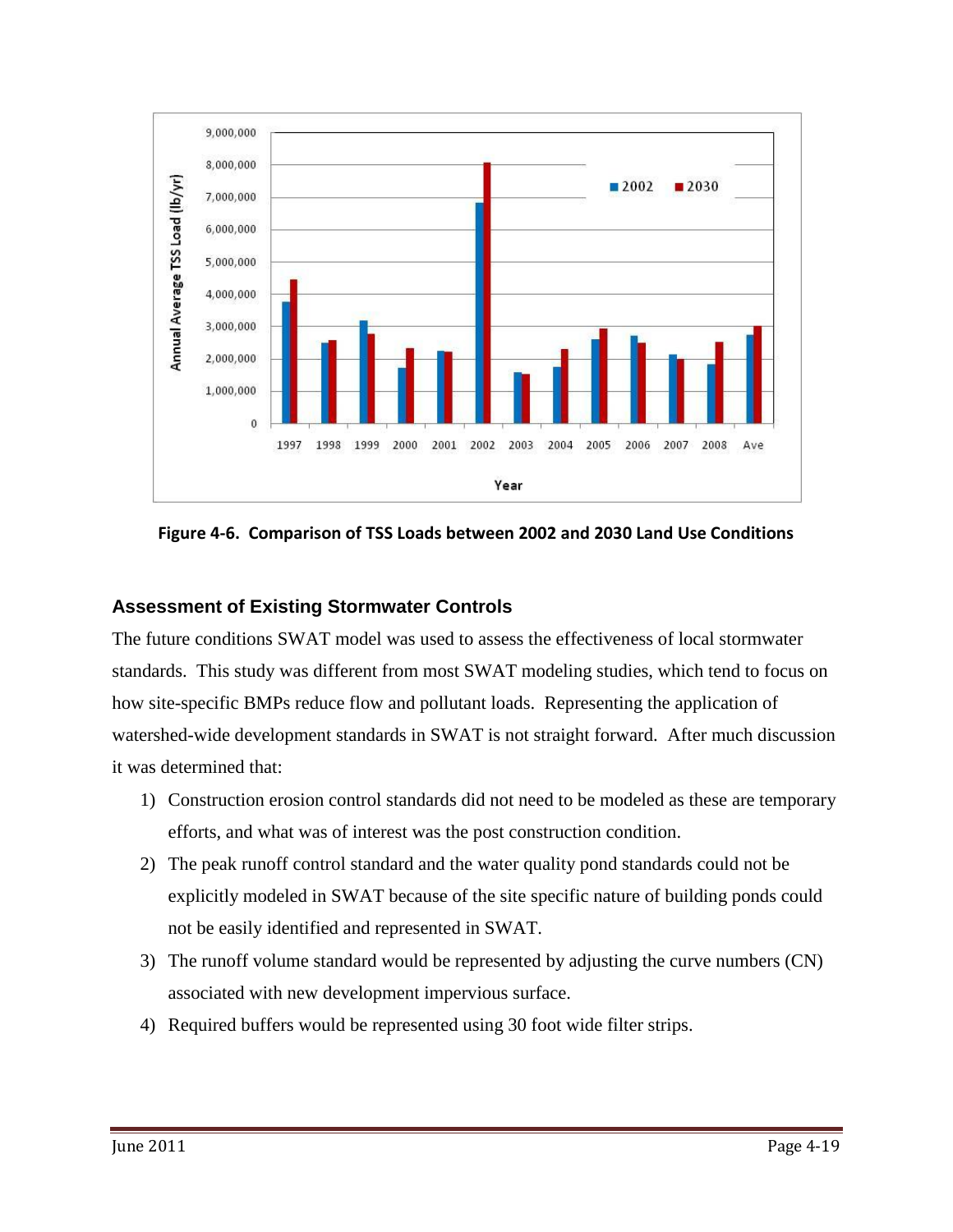

**Figure 4-6. Comparison of TSS Loads between 2002 and 2030 Land Use Conditions** 

# **Assessment of Existing Stormwater Controls**

The future conditions SWAT model was used to assess the effectiveness of local stormwater standards. This study was different from most SWAT modeling studies, which tend to focus on how site-specific BMPs reduce flow and pollutant loads. Representing the application of watershed-wide development standards in SWAT is not straight forward. After much discussion it was determined that:

- 1) Construction erosion control standards did not need to be modeled as these are temporary efforts, and what was of interest was the post construction condition.
- 2) The peak runoff control standard and the water quality pond standards could not be explicitly modeled in SWAT because of the site specific nature of building ponds could not be easily identified and represented in SWAT.
- 3) The runoff volume standard would be represented by adjusting the curve numbers (CN) associated with new development impervious surface.
- 4) Required buffers would be represented using 30 foot wide filter strips.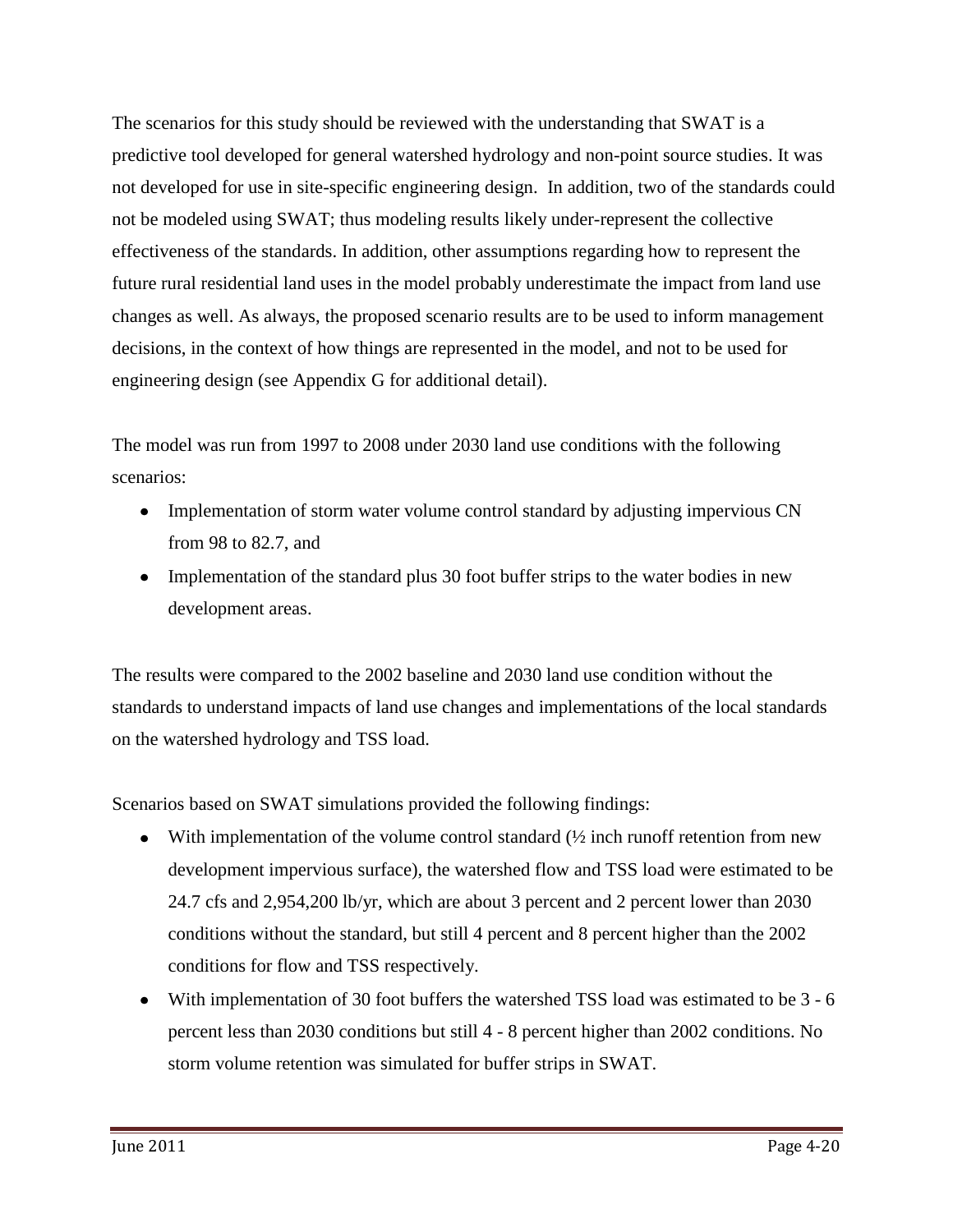The scenarios for this study should be reviewed with the understanding that SWAT is a predictive tool developed for general watershed hydrology and non-point source studies. It was not developed for use in site-specific engineering design. In addition, two of the standards could not be modeled using SWAT; thus modeling results likely under-represent the collective effectiveness of the standards. In addition, other assumptions regarding how to represent the future rural residential land uses in the model probably underestimate the impact from land use changes as well. As always, the proposed scenario results are to be used to inform management decisions, in the context of how things are represented in the model, and not to be used for engineering design (see Appendix G for additional detail).

The model was run from 1997 to 2008 under 2030 land use conditions with the following scenarios:

- Implementation of storm water volume control standard by adjusting impervious CN from 98 to 82.7, and
- Implementation of the standard plus 30 foot buffer strips to the water bodies in new development areas.

The results were compared to the 2002 baseline and 2030 land use condition without the standards to understand impacts of land use changes and implementations of the local standards on the watershed hydrology and TSS load.

Scenarios based on SWAT simulations provided the following findings:

- With implementation of the volume control standard  $(½$  inch runoff retention from new development impervious surface), the watershed flow and TSS load were estimated to be 24.7 cfs and 2,954,200 lb/yr, which are about 3 percent and 2 percent lower than 2030 conditions without the standard, but still 4 percent and 8 percent higher than the 2002 conditions for flow and TSS respectively.
- With implementation of 30 foot buffers the watershed TSS load was estimated to be 3 6 percent less than 2030 conditions but still 4 - 8 percent higher than 2002 conditions. No storm volume retention was simulated for buffer strips in SWAT.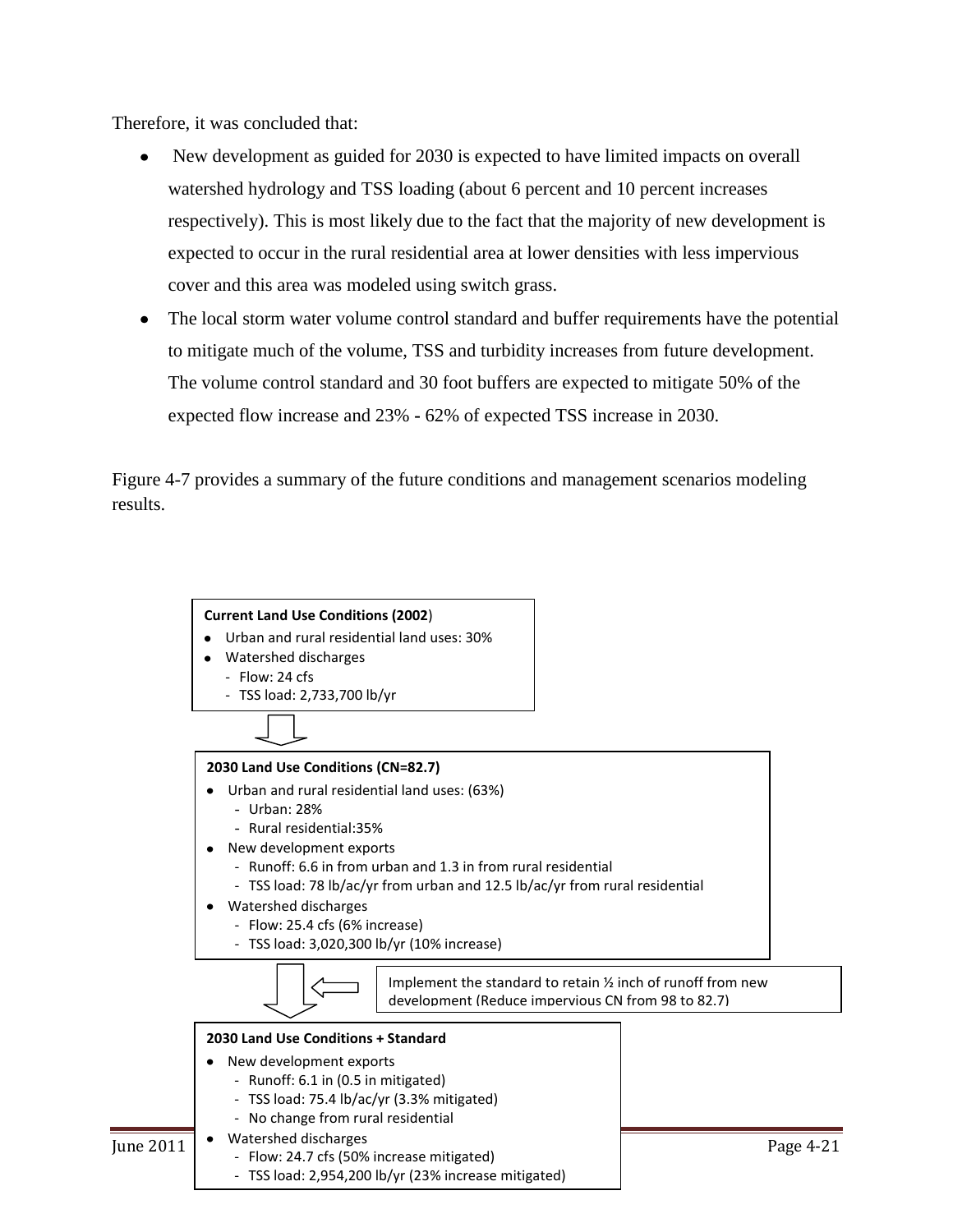Therefore, it was concluded that:

- New development as guided for 2030 is expected to have limited impacts on overall watershed hydrology and TSS loading (about 6 percent and 10 percent increases respectively). This is most likely due to the fact that the majority of new development is expected to occur in the rural residential area at lower densities with less impervious cover and this area was modeled using switch grass.
- The local storm water volume control standard and buffer requirements have the potential to mitigate much of the volume, TSS and turbidity increases from future development. The volume control standard and 30 foot buffers are expected to mitigate 50% of the expected flow increase and 23% **-** 62% of expected TSS increase in 2030.

Figure 4-7 provides a summary of the future conditions and management scenarios modeling results.

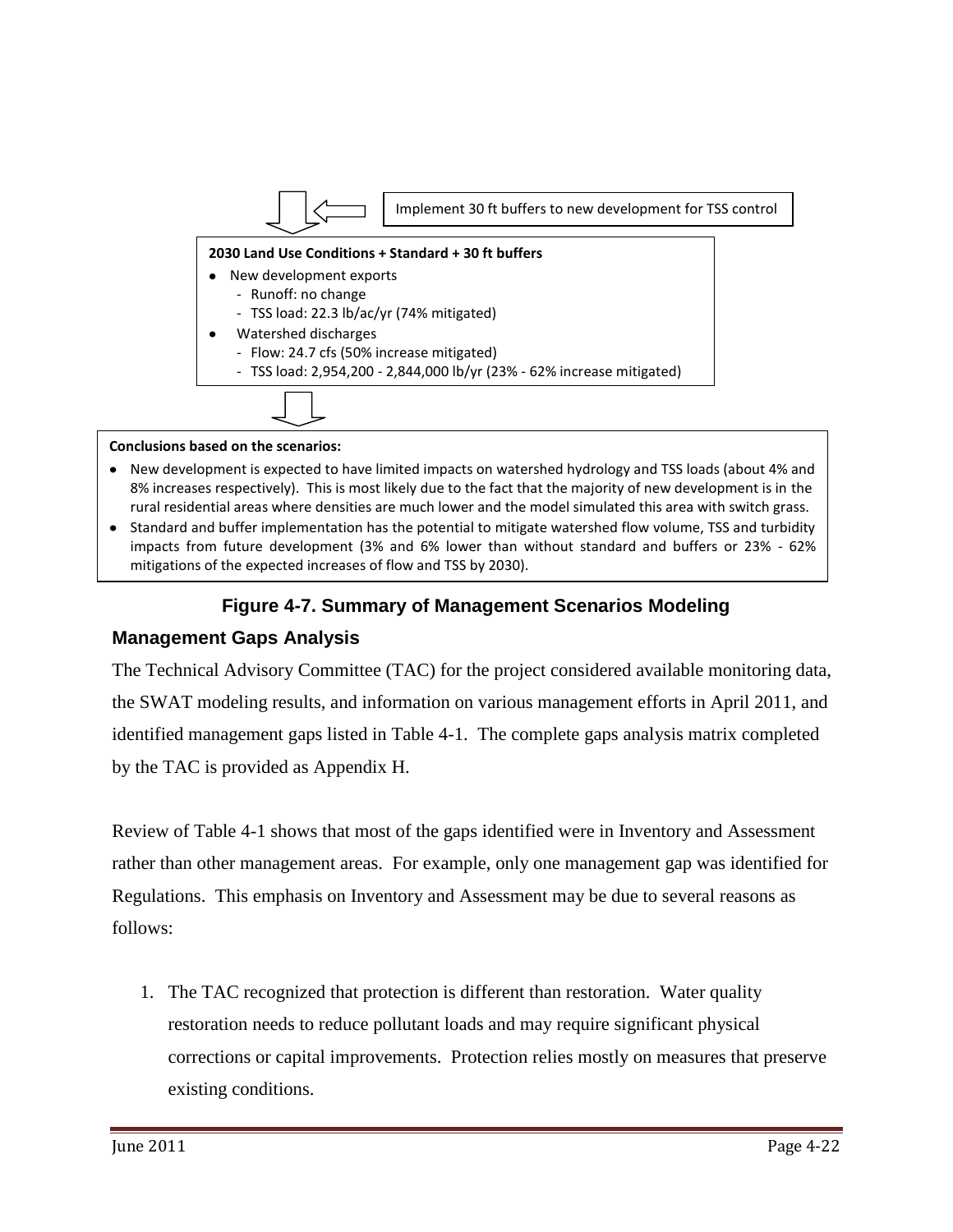

#### **Conclusions based on the scenarios:**

- New development is expected to have limited impacts on watershed hydrology and TSS loads (about 4% and 8% increases respectively). This is most likely due to the fact that the majority of new development is in the rural residential areas where densities are much lower and the model simulated this area with switch grass.
- Standard and buffer implementation has the potential to mitigate watershed flow volume, TSS and turbidity impacts from future development (3% and 6% lower than without standard and buffers or 23% - 62% mitigations of the expected increases of flow and TSS by 2030).

# **Figure 4-7. Summary of Management Scenarios Modeling**

### **Management Gaps Analysis**

The Technical Advisory Committee (TAC) for the project considered available monitoring data, the SWAT modeling results, and information on various management efforts in April 2011, and identified management gaps listed in Table 4-1. The complete gaps analysis matrix completed by the TAC is provided as Appendix H.

Review of Table 4-1 shows that most of the gaps identified were in Inventory and Assessment rather than other management areas. For example, only one management gap was identified for Regulations. This emphasis on Inventory and Assessment may be due to several reasons as follows:

1. The TAC recognized that protection is different than restoration. Water quality restoration needs to reduce pollutant loads and may require significant physical corrections or capital improvements. Protection relies mostly on measures that preserve existing conditions.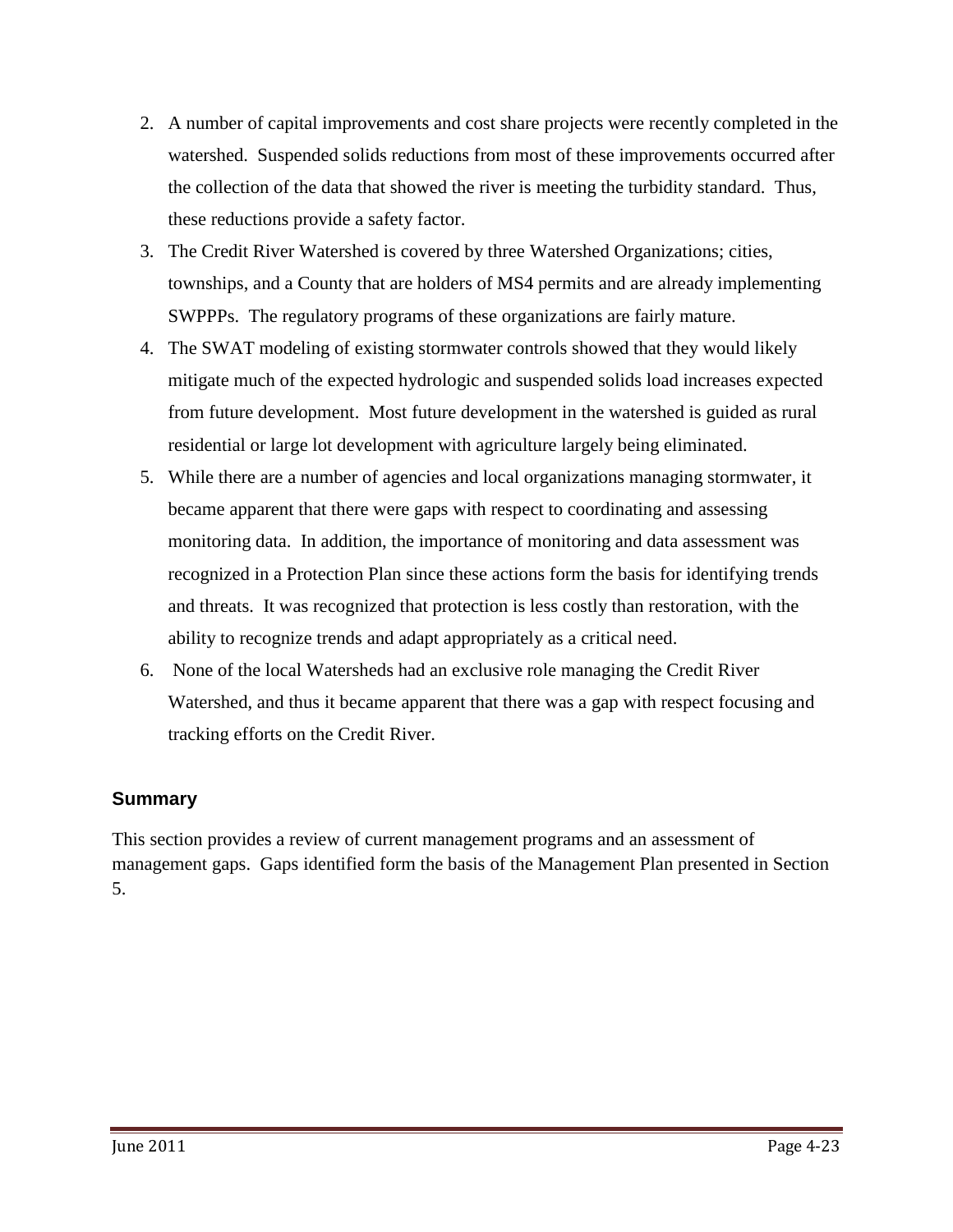- 2. A number of capital improvements and cost share projects were recently completed in the watershed. Suspended solids reductions from most of these improvements occurred after the collection of the data that showed the river is meeting the turbidity standard. Thus, these reductions provide a safety factor.
- 3. The Credit River Watershed is covered by three Watershed Organizations; cities, townships, and a County that are holders of MS4 permits and are already implementing SWPPPs. The regulatory programs of these organizations are fairly mature.
- 4. The SWAT modeling of existing stormwater controls showed that they would likely mitigate much of the expected hydrologic and suspended solids load increases expected from future development. Most future development in the watershed is guided as rural residential or large lot development with agriculture largely being eliminated.
- 5. While there are a number of agencies and local organizations managing stormwater, it became apparent that there were gaps with respect to coordinating and assessing monitoring data. In addition, the importance of monitoring and data assessment was recognized in a Protection Plan since these actions form the basis for identifying trends and threats. It was recognized that protection is less costly than restoration, with the ability to recognize trends and adapt appropriately as a critical need.
- 6. None of the local Watersheds had an exclusive role managing the Credit River Watershed, and thus it became apparent that there was a gap with respect focusing and tracking efforts on the Credit River.

# **Summary**

This section provides a review of current management programs and an assessment of management gaps. Gaps identified form the basis of the Management Plan presented in Section 5.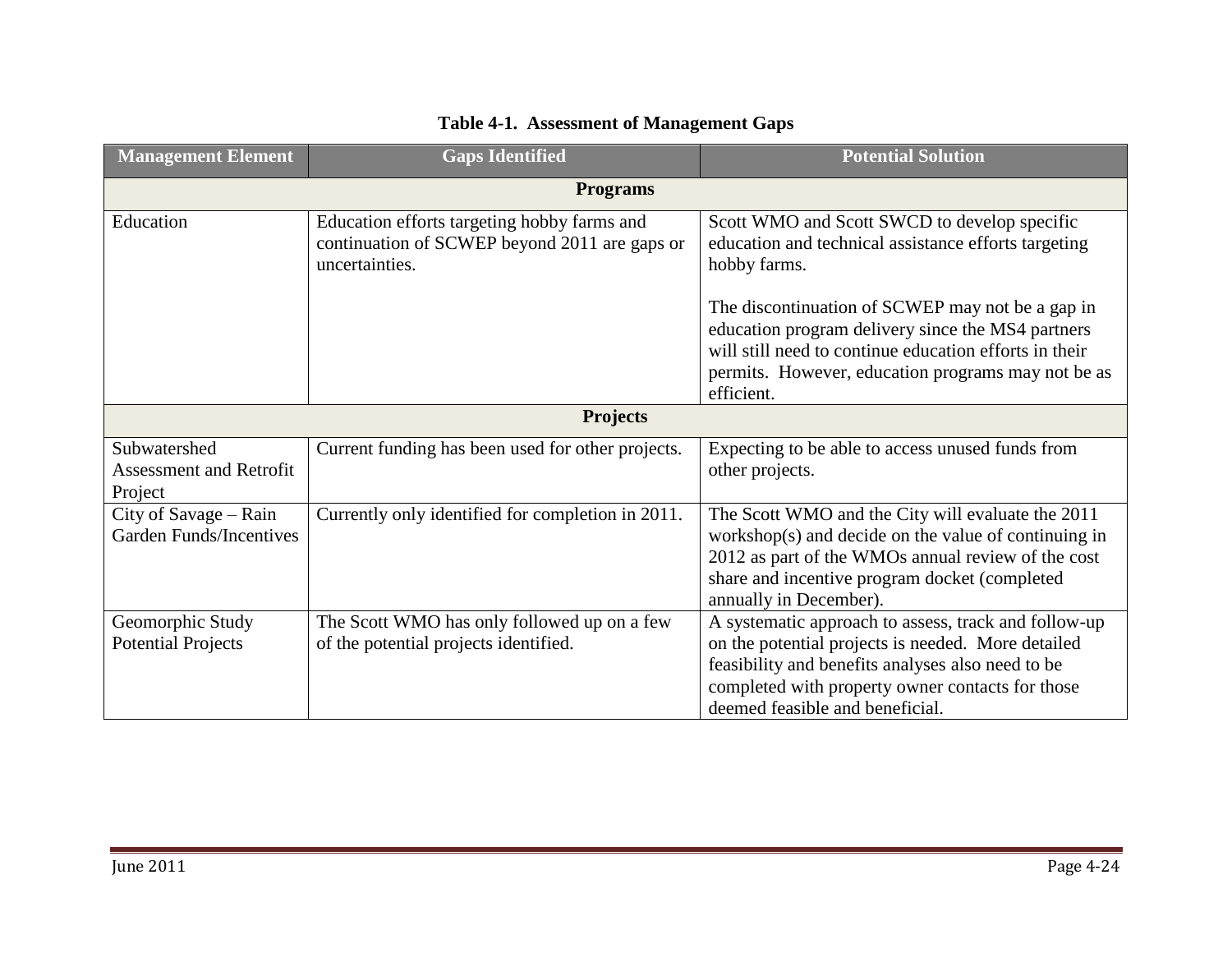| <b>Management Element</b>                                 | <b>Gaps Identified</b>                                                                                         | <b>Potential Solution</b>                                                                                                                                                                                                                                                                                                                     |  |  |
|-----------------------------------------------------------|----------------------------------------------------------------------------------------------------------------|-----------------------------------------------------------------------------------------------------------------------------------------------------------------------------------------------------------------------------------------------------------------------------------------------------------------------------------------------|--|--|
| <b>Programs</b>                                           |                                                                                                                |                                                                                                                                                                                                                                                                                                                                               |  |  |
| Education                                                 | Education efforts targeting hobby farms and<br>continuation of SCWEP beyond 2011 are gaps or<br>uncertainties. | Scott WMO and Scott SWCD to develop specific<br>education and technical assistance efforts targeting<br>hobby farms.<br>The discontinuation of SCWEP may not be a gap in<br>education program delivery since the MS4 partners<br>will still need to continue education efforts in their<br>permits. However, education programs may not be as |  |  |
|                                                           |                                                                                                                | efficient.                                                                                                                                                                                                                                                                                                                                    |  |  |
| <b>Projects</b>                                           |                                                                                                                |                                                                                                                                                                                                                                                                                                                                               |  |  |
| Subwatershed<br><b>Assessment and Retrofit</b><br>Project | Current funding has been used for other projects.                                                              | Expecting to be able to access unused funds from<br>other projects.                                                                                                                                                                                                                                                                           |  |  |
| City of Savage – Rain<br><b>Garden Funds/Incentives</b>   | Currently only identified for completion in 2011.                                                              | The Scott WMO and the City will evaluate the 2011<br>workshop(s) and decide on the value of continuing in<br>2012 as part of the WMOs annual review of the cost<br>share and incentive program docket (completed<br>annually in December).                                                                                                    |  |  |
| Geomorphic Study<br><b>Potential Projects</b>             | The Scott WMO has only followed up on a few<br>of the potential projects identified.                           | A systematic approach to assess, track and follow-up<br>on the potential projects is needed. More detailed<br>feasibility and benefits analyses also need to be<br>completed with property owner contacts for those<br>deemed feasible and beneficial.                                                                                        |  |  |

# **Table 4-1. Assessment of Management Gaps**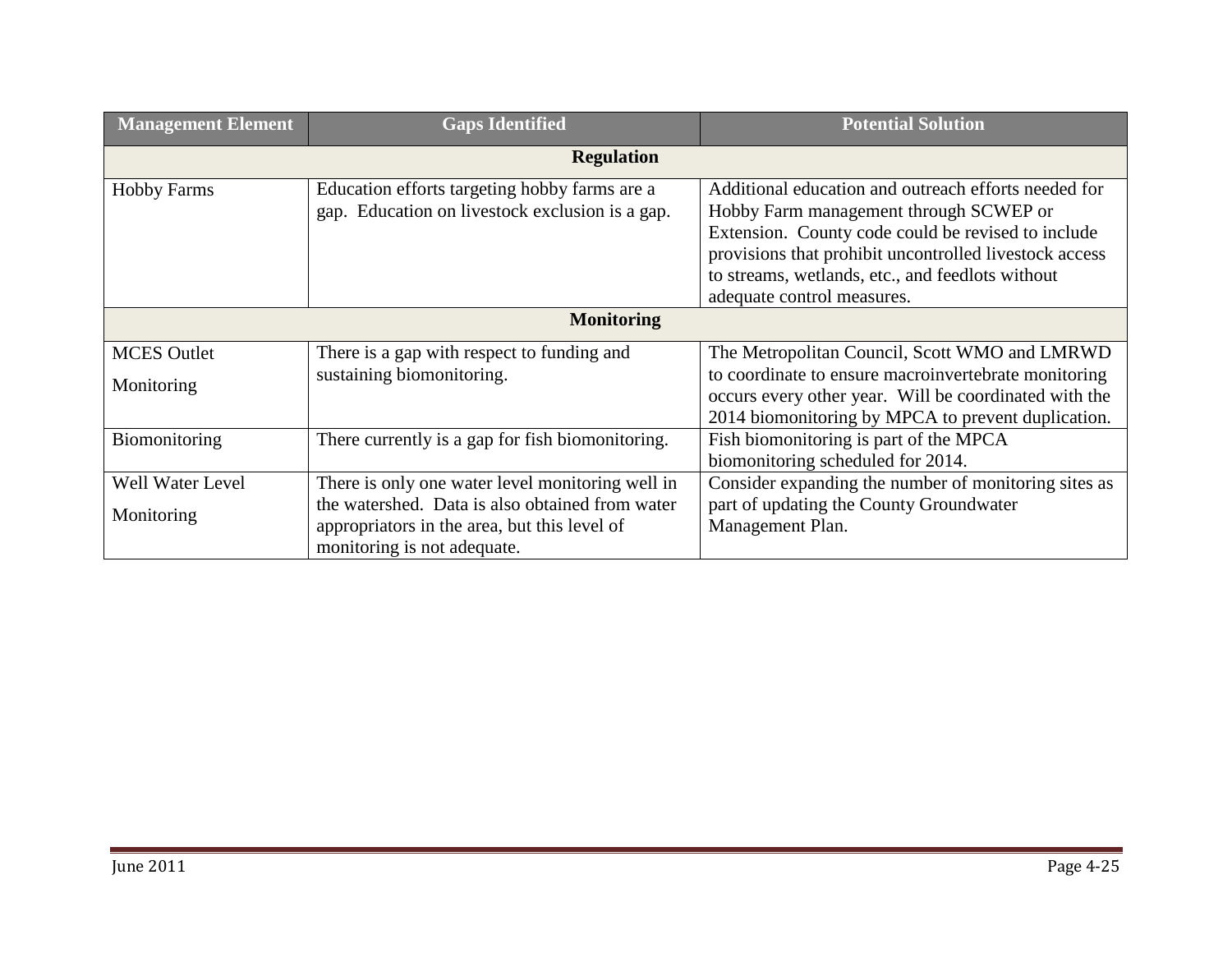| <b>Management Element</b> | <b>Gaps Identified</b>                                                                                                         | <b>Potential Solution</b>                                                                                                                                                                                                                                                                        |  |  |
|---------------------------|--------------------------------------------------------------------------------------------------------------------------------|--------------------------------------------------------------------------------------------------------------------------------------------------------------------------------------------------------------------------------------------------------------------------------------------------|--|--|
| <b>Regulation</b>         |                                                                                                                                |                                                                                                                                                                                                                                                                                                  |  |  |
| <b>Hobby Farms</b>        | Education efforts targeting hobby farms are a<br>gap. Education on livestock exclusion is a gap.                               | Additional education and outreach efforts needed for<br>Hobby Farm management through SCWEP or<br>Extension. County code could be revised to include<br>provisions that prohibit uncontrolled livestock access<br>to streams, wetlands, etc., and feedlots without<br>adequate control measures. |  |  |
| <b>Monitoring</b>         |                                                                                                                                |                                                                                                                                                                                                                                                                                                  |  |  |
| <b>MCES</b> Outlet        | There is a gap with respect to funding and                                                                                     | The Metropolitan Council, Scott WMO and LMRWD                                                                                                                                                                                                                                                    |  |  |
| Monitoring                | sustaining biomonitoring.                                                                                                      | to coordinate to ensure macroinvertebrate monitoring<br>occurs every other year. Will be coordinated with the<br>2014 biomonitoring by MPCA to prevent duplication.                                                                                                                              |  |  |
| Biomonitoring             | There currently is a gap for fish biomonitoring.                                                                               | Fish biomonitoring is part of the MPCA<br>biomonitoring scheduled for 2014.                                                                                                                                                                                                                      |  |  |
| <b>Well Water Level</b>   | There is only one water level monitoring well in                                                                               | Consider expanding the number of monitoring sites as                                                                                                                                                                                                                                             |  |  |
| Monitoring                | the watershed. Data is also obtained from water<br>appropriators in the area, but this level of<br>monitoring is not adequate. | part of updating the County Groundwater<br>Management Plan.                                                                                                                                                                                                                                      |  |  |